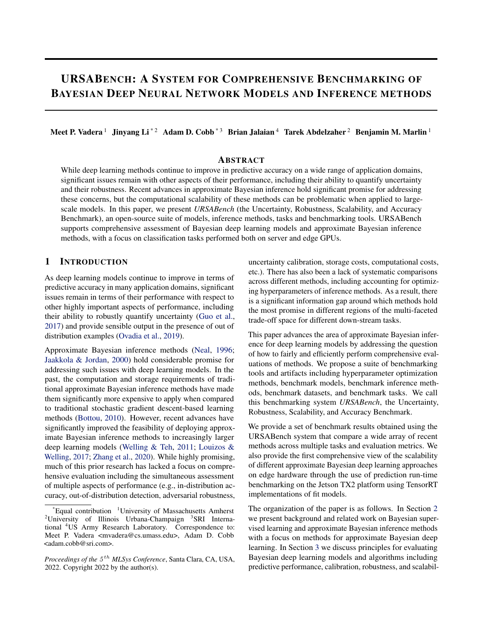# URSABENCH: A SYSTEM FOR COMPREHENSIVE BENCHMARKING OF BAYESIAN DEEP NEURAL NETWORK MODELS AND INFERENCE METHODS

Meet P. Vadera<sup>1</sup> Jinyang Li<sup>\*2</sup> Adam D. Cobb<sup>\*3</sup> Brian Jalaian<sup>4</sup> Tarek Abdelzaher<sup>2</sup> Benjamin M. Marlin<sup>1</sup>

# ABSTRACT

While deep learning methods continue to improve in predictive accuracy on a wide range of application domains, significant issues remain with other aspects of their performance, including their ability to quantify uncertainty and their robustness. Recent advances in approximate Bayesian inference hold significant promise for addressing these concerns, but the computational scalability of these methods can be problematic when applied to largescale models. In this paper, we present *URSABench* (the Uncertainty, Robustness, Scalability, and Accuracy Benchmark), an open-source suite of models, inference methods, tasks and benchmarking tools. URSABench supports comprehensive assessment of Bayesian deep learning models and approximate Bayesian inference methods, with a focus on classification tasks performed both on server and edge GPUs.

## 1 INTRODUCTION

As deep learning models continue to improve in terms of predictive accuracy in many application domains, significant issues remain in terms of their performance with respect to other highly important aspects of performance, including their ability to robustly quantify uncertainty [\(Guo et al.,](#page-11-0) [2017\)](#page-11-0) and provide sensible output in the presence of out of distribution examples [\(Ovadia et al.,](#page-12-0) [2019\)](#page-12-0).

Approximate Bayesian inference methods [\(Neal,](#page-11-0) [1996;](#page-11-0) [Jaakkola & Jordan,](#page-11-0) [2000\)](#page-11-0) hold considerable promise for addressing such issues with deep learning models. In the past, the computation and storage requirements of traditional approximate Bayesian inference methods have made them significantly more expensive to apply when compared to traditional stochastic gradient descent-based learning methods [\(Bottou,](#page-10-0) [2010\)](#page-10-0). However, recent advances have significantly improved the feasibility of deploying approximate Bayesian inference methods to increasingly larger deep learning models [\(Welling & Teh,](#page-12-0) [2011;](#page-12-0) [Louizos &](#page-11-0) [Welling,](#page-11-0) [2017;](#page-11-0) [Zhang et al.,](#page-12-0) [2020\)](#page-12-0). While highly promising, much of this prior research has lacked a focus on comprehensive evaluation including the simultaneous assessment of multiple aspects of performance (e.g., in-distribution accuracy, out-of-distribution detection, adversarial robustness, uncertainty calibration, storage costs, computational costs, etc.). There has also been a lack of systematic comparisons across different methods, including accounting for optimizing hyperparameters of inference methods. As a result, there is a significant information gap around which methods hold the most promise in different regions of the multi-faceted trade-off space for different down-stream tasks.

This paper advances the area of approximate Bayesian inference for deep learning models by addressing the question of how to fairly and efficiently perform comprehensive evaluations of methods. We propose a suite of benchmarking tools and artifacts including hyperparameter optimization methods, benchmark models, benchmark inference methods, benchmark datasets, and benchmark tasks. We call this benchmarking system *URSABench*, the Uncertainty, Robustness, Scalability, and Accuracy Benchmark.

We provide a set of benchmark results obtained using the URSABench system that compare a wide array of recent methods across multiple tasks and evaluation metrics. We also provide the first comprehensive view of the scalability of different approximate Bayesian deep learning approaches on edge hardware through the use of prediction run-time benchmarking on the Jetson TX2 platform using TensorRT implementations of fit models.

The organization of the paper is as follows. In Section [2](#page-1-0) we present background and related work on Bayesian supervised learning and approximate Bayesian inference methods with a focus on methods for approximate Bayesian deep learning. In Section [3](#page-3-0) we discuss principles for evaluating Bayesian deep learning models and algorithms including predictive performance, calibration, robustness, and scalabil-

 $E$ qual contribution  $1$ University of Massachusetts Amherst <sup>2</sup>University of Illinois Urbana-Champaign <sup>3</sup>SRI International <sup>4</sup>US Army Research Laboratory. Correspondence to: Meet P. Vadera <mvadera@cs.umass.edu>, Adam D. Cobb <adam.cobb@sri.com>.

*Proceedings of the* 5 th *MLSys Conference*, Santa Clara, CA, USA, 2022. Copyright 2022 by the author(s).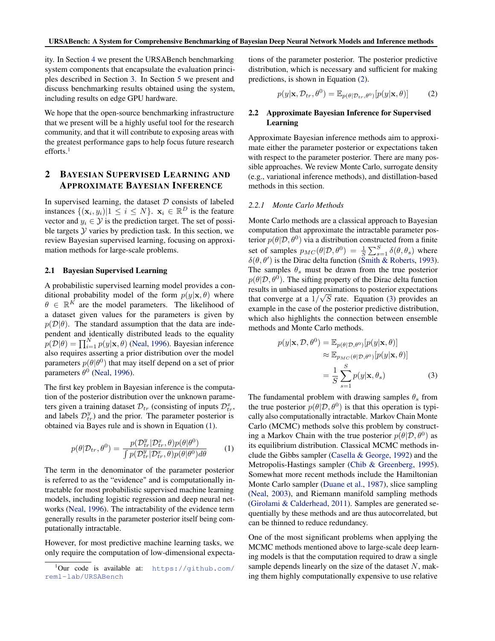<span id="page-1-0"></span>ity. In Section [4](#page-5-0) we present the URSABench benchmarking system components that encapsulate the evaluation principles described in Section [3.](#page-3-0) In Section [5](#page-6-0) we present and discuss benchmarking results obtained using the system, including results on edge GPU hardware.

We hope that the open-source benchmarking infrastructure that we present will be a highly useful tool for the research community, and that it will contribute to exposing areas with the greatest performance gaps to help focus future research efforts.<sup>1</sup>

# 2 BAYESIAN SUPERVISED LEARNING AND APPROXIMATE BAYESIAN INFERENCE

In supervised learning, the dataset  $D$  consists of labeled instances  $\{(\mathbf{x}_i, y_i) | 1 \le i \le N\}$ .  $\mathbf{x}_i \in \mathbb{R}^D$  is the feature vector and  $y_i \in \mathcal{Y}$  is the prediction target. The set of possible targets  $Y$  varies by prediction task. In this section, we review Bayesian supervised learning, focusing on approximation methods for large-scale problems.

## 2.1 Bayesian Supervised Learning

A probabilistic supervised learning model provides a conditional probability model of the form  $p(y|\mathbf{x}, \theta)$  where  $\theta \in \mathbb{R}^K$  are the model parameters. The likelihood of a dataset given values for the parameters is given by  $p(\mathcal{D}|\theta)$ . The standard assumption that the data are independent and identically distributed leads to the equality  $p(\mathcal{D}|\theta) = \prod_{i=1}^{N} p(y|\mathbf{x}, \theta)$  [\(Neal,](#page-11-0) [1996\)](#page-11-0). Bayesian inference also requires asserting a prior distribution over the model parameters  $p(\theta|\theta^0)$  that may itself depend on a set of prior parameters  $\theta^0$  [\(Neal,](#page-11-0) [1996\)](#page-11-0).

The first key problem in Bayesian inference is the computation of the posterior distribution over the unknown parameters given a training dataset  $\mathcal{D}_{tr}$  (consisting of inputs  $\mathcal{D}_{tr}^x$ , and labels  $\mathcal{D}_{tr}^{y}$ ) and the prior. The parameter posterior is obtained via Bayes rule and is shown in Equation (1).

$$
p(\theta | \mathcal{D}_{tr}, \theta^0) = \frac{p(\mathcal{D}_{tr}^y | \mathcal{D}_{tr}^x, \theta) p(\theta | \theta^0)}{\int p(\mathcal{D}_{tr}^y | \mathcal{D}_{tr}^x, \theta) p(\theta | \theta^0) d\theta}
$$
 (1)

The term in the denominator of the parameter posterior is referred to as the "evidence" and is computationally intractable for most probabilistic supervised machine learning models, including logistic regression and deep neural networks [\(Neal,](#page-11-0) [1996\)](#page-11-0). The intractability of the evidence term generally results in the parameter posterior itself being computationally intractable.

However, for most predictive machine learning tasks, we only require the computation of low-dimensional expectations of the parameter posterior. The posterior predictive distribution, which is necessary and sufficient for making predictions, is shown in Equation (2).

$$
p(y|\mathbf{x}, \mathcal{D}_{tr}, \theta^0) = \mathbb{E}_{p(\theta|\mathcal{D}_{tr}, \theta^0)}[p(y|\mathbf{x}, \theta)] \tag{2}
$$

# 2.2 Approximate Bayesian Inference for Supervised Learning

Approximate Bayesian inference methods aim to approximate either the parameter posterior or expectations taken with respect to the parameter posterior. There are many possible approaches. We review Monte Carlo, surrogate density (e.g., variational inference methods), and distillation-based methods in this section.

## *2.2.1 Monte Carlo Methods*

Monte Carlo methods are a classical approach to Bayesian computation that approximate the intractable parameter posterior  $p(\theta|\mathcal{D}, \theta^0)$  via a distribution constructed from a finite set of samples  $p_{MC}(\theta|\mathcal{D}, \theta^0) = \frac{1}{S} \sum_{s=1}^{S} \delta(\theta, \theta_s)$  where  $\delta(\theta, \theta')$  is the Dirac delta function [\(Smith & Roberts,](#page-12-0) [1993\)](#page-12-0). The samples  $\theta_s$  must be drawn from the true posterior  $p(\theta|\mathcal{D}, \theta^0)$ . The sifting property of the Dirac delta function results in unbiased approximations to posterior expectations √ that converge at a  $1/\sqrt{S}$  rate. Equation (3) provides an example in the case of the posterior predictive distribution, which also highlights the connection between ensemble methods and Monte Carlo methods.

$$
p(y|\mathbf{x}, \mathcal{D}, \theta^0) = \mathbb{E}_{p(\theta|\mathcal{D}, \theta^0)}[p(y|\mathbf{x}, \theta)]
$$
  
\n
$$
\approx \mathbb{E}_{p_{MC}(\theta|\mathcal{D}, \theta^0)}[p(y|\mathbf{x}, \theta)]
$$
  
\n
$$
= \frac{1}{S} \sum_{s=1}^{S} p(y|\mathbf{x}, \theta_s)
$$
 (3)

The fundamental problem with drawing samples  $\theta_s$  from the true posterior  $p(\theta|\mathcal{D}, \theta^0)$  is that this operation is typically also computationally intractable. Markov Chain Monte Carlo (MCMC) methods solve this problem by constructing a Markov Chain with the true posterior  $p(\theta|\mathcal{D}, \theta^0)$  as its equilibrium distribution. Classical MCMC methods include the Gibbs sampler [\(Casella & George,](#page-10-0) [1992\)](#page-10-0) and the Metropolis-Hastings sampler [\(Chib & Greenberg,](#page-10-0) [1995\)](#page-10-0). Somewhat more recent methods include the Hamiltonian Monte Carlo sampler [\(Duane et al.,](#page-11-0) [1987\)](#page-11-0), slice sampling [\(Neal,](#page-11-0) [2003\)](#page-11-0), and Riemann manifold sampling methods [\(Girolami & Calderhead,](#page-11-0) [2011\)](#page-11-0). Samples are generated sequentially by these methods and are thus autocorrelated, but can be thinned to reduce redundancy.

One of the most significant problems when applying the MCMC methods mentioned above to large-scale deep learning models is that the computation required to draw a single sample depends linearly on the size of the dataset  $N$ , making them highly computationally expensive to use relative

 $1$ Our code is available at: [https://github.com/](https://github.com/reml-lab/URSABench) [reml-lab/URSABench](https://github.com/reml-lab/URSABench)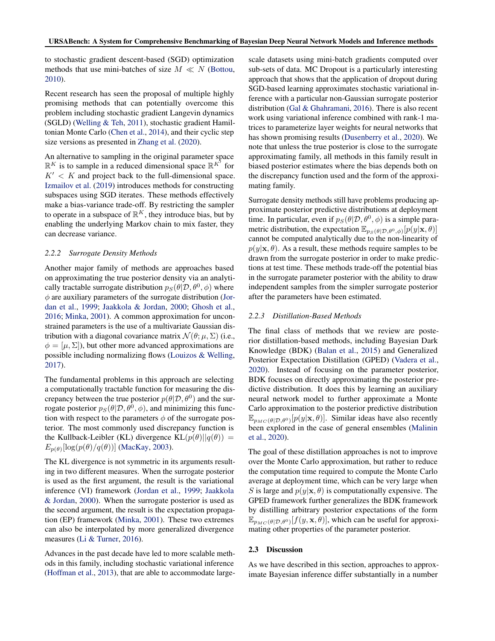to stochastic gradient descent-based (SGD) optimization methods that use mini-batches of size  $M \ll N$  [\(Bottou,](#page-10-0) [2010\)](#page-10-0).

Recent research has seen the proposal of multiple highly promising methods that can potentially overcome this problem including stochastic gradient Langevin dynamics (SGLD) [\(Welling & Teh,](#page-12-0) [2011\)](#page-12-0), stochastic gradient Hamiltonian Monte Carlo [\(Chen et al.,](#page-10-0) [2014\)](#page-10-0), and their cyclic step size versions as presented in [Zhang et al.](#page-12-0) [\(2020\)](#page-12-0).

An alternative to sampling in the original parameter space  $\mathbb{R}^K$  is to sample in a reduced dimensional space  $\mathbb{R}^{K'}$  for  $K' < K$  and project back to the full-dimensional space. [Izmailov et al.](#page-11-0) [\(2019\)](#page-11-0) introduces methods for constructing subspaces using SGD iterates. These methods effectively make a bias-variance trade-off. By restricting the sampler to operate in a subspace of  $\mathbb{R}^K$ , they introduce bias, but by enabling the underlying Markov chain to mix faster, they can decrease variance.

## *2.2.2 Surrogate Density Methods*

Another major family of methods are approaches based on approximating the true posterior density via an analytically tractable surrogate distribution  $p_S(\theta|\mathcal{D}, \theta^0, \phi)$  where  $\phi$  are auxiliary parameters of the surrogate distribution [\(Jor](#page-11-0)[dan et al.,](#page-11-0) [1999;](#page-11-0) [Jaakkola & Jordan,](#page-11-0) [2000;](#page-11-0) [Ghosh et al.,](#page-11-0) [2016;](#page-11-0) [Minka,](#page-11-0) [2001\)](#page-11-0). A common approximation for unconstrained parameters is the use of a multivariate Gaussian distribution with a diagonal covariance matrix  $\mathcal{N}(\theta; \mu, \Sigma)$  (i.e.,  $\phi = [\mu, \Sigma]$ , but other more advanced approximations are possible including normalizing flows [\(Louizos & Welling,](#page-11-0) [2017\)](#page-11-0).

The fundamental problems in this approach are selecting a computationally tractable function for measuring the discrepancy between the true posterior  $p(\theta|\mathcal{D}, \theta^0)$  and the surrogate posterior  $p_S(\theta|\mathcal{D}, \theta^0, \phi)$ , and minimizing this function with respect to the parameters  $\phi$  of the surrogate posterior. The most commonly used discrepancy function is the Kullback-Leibler (KL) divergence  $KL(p(\theta)||q(\theta)) =$  $E_{p(\theta)}[\log(p(\theta)/q(\theta))]$  [\(MacKay,](#page-11-0) [2003\)](#page-11-0).

The KL divergence is not symmetric in its arguments resulting in two different measures. When the surrogate posterior is used as the first argument, the result is the variational inference (VI) framework [\(Jordan et al.,](#page-11-0) [1999;](#page-11-0) [Jaakkola](#page-11-0) [& Jordan,](#page-11-0) [2000\)](#page-11-0). When the surrogate posterior is used as the second argument, the result is the expectation propagation (EP) framework [\(Minka,](#page-11-0) [2001\)](#page-11-0). These two extremes can also be interpolated by more generalized divergence measures [\(Li & Turner,](#page-11-0) [2016\)](#page-11-0).

Advances in the past decade have led to more scalable methods in this family, including stochastic variational inference [\(Hoffman et al.,](#page-11-0) [2013\)](#page-11-0), that are able to accommodate largescale datasets using mini-batch gradients computed over sub-sets of data. MC Dropout is a particularly interesting approach that shows that the application of dropout during SGD-based learning approximates stochastic variational inference with a particular non-Gaussian surrogate posterior distribution [\(Gal & Ghahramani,](#page-11-0) [2016\)](#page-11-0). There is also recent work using variational inference combined with rank-1 matrices to parameterize layer weights for neural networks that has shown promising results [\(Dusenberry et al.,](#page-11-0) [2020\)](#page-11-0). We note that unless the true posterior is close to the surrogate approximating family, all methods in this family result in biased posterior estimates where the bias depends both on the discrepancy function used and the form of the approximating family.

Surrogate density methods still have problems producing approximate posterior predictive distributions at deployment time. In particular, even if  $p_S(\theta|\mathcal{D}, \theta^0, \phi)$  is a simple parametric distribution, the expectation  $\mathbb{E}_{p_S(\theta|\mathcal{D},\theta^0,\phi)}[p(y|\mathbf{x},\theta)]$ cannot be computed analytically due to the non-linearity of  $p(y|\mathbf{x}, \theta)$ . As a result, these methods require samples to be drawn from the surrogate posterior in order to make predictions at test time. These methods trade-off the potential bias in the surrogate parameter posterior with the ability to draw independent samples from the simpler surrogate posterior after the parameters have been estimated.

#### *2.2.3 Distillation-Based Methods*

The final class of methods that we review are posterior distillation-based methods, including Bayesian Dark Knowledge (BDK) [\(Balan et al.,](#page-10-0) [2015\)](#page-10-0) and Generalized Posterior Expectation Distillation (GPED) [\(Vadera et al.,](#page-12-0) [2020\)](#page-12-0). Instead of focusing on the parameter posterior, BDK focuses on directly approximating the posterior predictive distribution. It does this by learning an auxiliary neural network model to further approximate a Monte Carlo approximation to the posterior predictive distribution  $\mathbb{E}_{p_{MC}(\theta|\mathcal{D},\theta^0)}[p(y|\mathbf{x},\theta)]$ . Similar ideas have also recently been explored in the case of general ensembles [\(Malinin](#page-11-0) [et al.,](#page-11-0) [2020\)](#page-11-0).

The goal of these distillation approaches is not to improve over the Monte Carlo approximation, but rather to reduce the computation time required to compute the Monte Carlo average at deployment time, which can be very large when S is large and  $p(y|\mathbf{x}, \theta)$  is computationally expensive. The GPED framework further generalizes the BDK framework by distilling arbitrary posterior expectations of the form  $\mathbb{E}_{p_{MC}(\theta|\mathcal{D},\theta^0)}[f(y,\mathbf{x},\theta)]$ , which can be useful for approximating other properties of the parameter posterior.

#### 2.3 Discussion

As we have described in this section, approaches to approximate Bayesian inference differ substantially in a number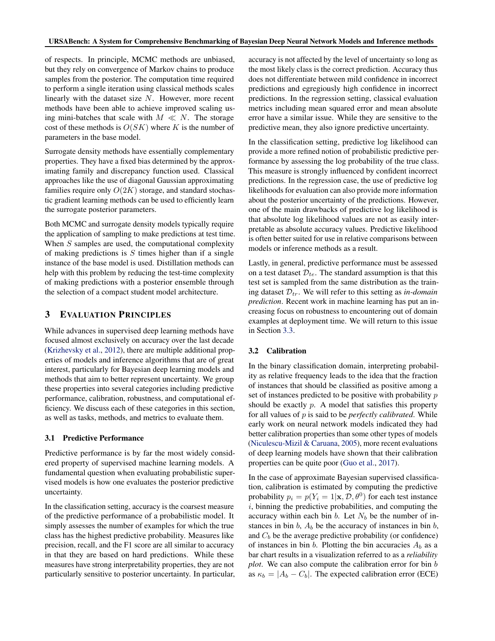<span id="page-3-0"></span>of respects. In principle, MCMC methods are unbiased, but they rely on convergence of Markov chains to produce samples from the posterior. The computation time required to perform a single iteration using classical methods scales linearly with the dataset size N. However, more recent methods have been able to achieve improved scaling using mini-batches that scale with  $M \ll N$ . The storage cost of these methods is  $O(SK)$  where K is the number of parameters in the base model.

Surrogate density methods have essentially complementary properties. They have a fixed bias determined by the approximating family and discrepancy function used. Classical approaches like the use of diagonal Gaussian approximating families require only  $O(2K)$  storage, and standard stochastic gradient learning methods can be used to efficiently learn the surrogate posterior parameters.

Both MCMC and surrogate density models typically require the application of sampling to make predictions at test time. When  $S$  samples are used, the computational complexity of making predictions is  $S$  times higher than if a single instance of the base model is used. Distillation methods can help with this problem by reducing the test-time complexity of making predictions with a posterior ensemble through the selection of a compact student model architecture.

# 3 EVALUATION PRINCIPLES

While advances in supervised deep learning methods have focused almost exclusively on accuracy over the last decade [\(Krizhevsky et al.,](#page-11-0) [2012\)](#page-11-0), there are multiple additional properties of models and inference algorithms that are of great interest, particularly for Bayesian deep learning models and methods that aim to better represent uncertainty. We group these properties into several categories including predictive performance, calibration, robustness, and computational efficiency. We discuss each of these categories in this section, as well as tasks, methods, and metrics to evaluate them.

#### 3.1 Predictive Performance

Predictive performance is by far the most widely considered property of supervised machine learning models. A fundamental question when evaluating probabilistic supervised models is how one evaluates the posterior predictive uncertainty.

In the classification setting, accuracy is the coarsest measure of the predictive performance of a probabilistic model. It simply assesses the number of examples for which the true class has the highest predictive probability. Measures like precision, recall, and the F1 score are all similar to accuracy in that they are based on hard predictions. While these measures have strong interpretability properties, they are not particularly sensitive to posterior uncertainty. In particular, accuracy is not affected by the level of uncertainty so long as the most likely class is the correct prediction. Accuracy thus does not differentiate between mild confidence in incorrect predictions and egregiously high confidence in incorrect predictions. In the regression setting, classical evaluation metrics including mean squared error and mean absolute error have a similar issue. While they are sensitive to the predictive mean, they also ignore predictive uncertainty.

In the classification setting, predictive log likelihood can provide a more refined notion of probabilistic predictive performance by assessing the log probability of the true class. This measure is strongly influenced by confident incorrect predictions. In the regression case, the use of predictive log likelihoods for evaluation can also provide more information about the posterior uncertainty of the predictions. However, one of the main drawbacks of predictive log likelihood is that absolute log likelihood values are not as easily interpretable as absolute accuracy values. Predictive likelihood is often better suited for use in relative comparisons between models or inference methods as a result.

Lastly, in general, predictive performance must be assessed on a test dataset  $\mathcal{D}_{te}$ . The standard assumption is that this test set is sampled from the same distribution as the training dataset  $\mathcal{D}_{tr}$ . We will refer to this setting as *in-domain prediction*. Recent work in machine learning has put an increasing focus on robustness to encountering out of domain examples at deployment time. We will return to this issue in Section [3.3.](#page-4-0)

# 3.2 Calibration

In the binary classification domain, interpreting probability as relative frequency leads to the idea that the fraction of instances that should be classified as positive among a set of instances predicted to be positive with probability p should be exactly  $p$ . A model that satisfies this property for all values of p is said to be *perfectly calibrated*. While early work on neural network models indicated they had better calibration properties than some other types of models [\(Niculescu-Mizil & Caruana,](#page-11-0) [2005\)](#page-11-0), more recent evaluations of deep learning models have shown that their calibration properties can be quite poor [\(Guo et al.,](#page-11-0) [2017\)](#page-11-0).

In the case of approximate Bayesian supervised classification, calibration is estimated by computing the predictive probability  $p_i = p(Y_i = 1 | \mathbf{x}, \mathcal{D}, \theta^0)$  for each test instance  $i$ , binning the predictive probabilities, and computing the accuracy within each bin  $b$ . Let  $N_b$  be the number of instances in bin  $b$ ,  $A<sub>b</sub>$  be the accuracy of instances in bin  $b$ , and  $C_b$  be the average predictive probability (or confidence) of instances in bin b. Plotting the bin accuracies  $A_b$  as a bar chart results in a visualization referred to as a *reliability plot*. We can also compute the calibration error for bin b as  $\kappa_b = |A_b - C_b|$ . The expected calibration error (ECE)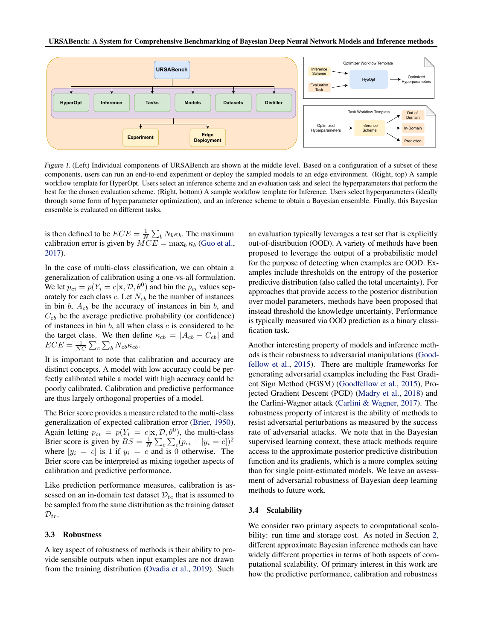<span id="page-4-0"></span>

Figure 1. (Left) Individual components of URSABench are shown at the middle level. Based on a configuration of a subset of these components, users can run an end-to-end experiment or deploy the sampled models to an edge environment. (Right, top) A sample workflow template for HyperOpt. Users select an inference scheme and an evaluation task and select the hyperparameters that perform the best for the chosen evaluation scheme. (Right, bottom) A sample workflow template for Inference. Users select hyperparameters (ideally through some form of hyperparameter optimization), and an inference scheme to obtain a Bayesian ensemble. Finally, this Bayesian ensemble is evaluated on different tasks.

is then defined to be  $ECE = \frac{1}{N} \sum_{b} N_b \kappa_b$ . The maximum calibration error is given by  $MCE = \max_b \kappa_b$  [\(Guo et al.,](#page-11-0) [2017\)](#page-11-0).

In the case of multi-class classification, we can obtain a generalization of calibration using a one-vs-all formulation. We let  $p_{ci} = p(Y_i = c | \mathbf{x}, \mathcal{D}, \theta^0)$  and bin the  $p_{ci}$  values separately for each class c. Let  $N_{cb}$  be the number of instances in bin  $b$ ,  $A_{cb}$  be the accuracy of instances in bin  $b$ , and  $C_{cb}$  be the average predictive probability (or confidence) of instances in bin  $b$ , all when class  $c$  is considered to be the target class. We then define  $\kappa_{cb} = |A_{cb} - C_{cb}|$  and  $ECE = \frac{1}{NC} \sum_{c} \sum_{b} N_{cb} \kappa_{cb}.$ 

It is important to note that calibration and accuracy are distinct concepts. A model with low accuracy could be perfectly calibrated while a model with high accuracy could be poorly calibrated. Calibration and predictive performance are thus largely orthogonal properties of a model.

The Brier score provides a measure related to the multi-class generalization of expected calibration error [\(Brier,](#page-10-0) [1950\)](#page-10-0). Again letting  $p_{ci} = p(Y_i = c | \mathbf{x}, \mathcal{D}, \theta^0)$ , the multi-class Brier score is given by  $BS = \frac{1}{N} \sum_{c} \sum_{i} (p_{ci} - [y_i = c])^2$ where  $[y_i = c]$  is 1 if  $y_i = c$  and is 0 otherwise. The Brier score can be interpreted as mixing together aspects of calibration and predictive performance.

Like prediction performance measures, calibration is assessed on an in-domain test dataset  $\mathcal{D}_{te}$  that is assumed to be sampled from the same distribution as the training dataset  $\mathcal{D}_{tr}$ .

#### 3.3 Robustness

A key aspect of robustness of methods is their ability to provide sensible outputs when input examples are not drawn from the training distribution [\(Ovadia et al.,](#page-12-0) [2019\)](#page-12-0). Such

an evaluation typically leverages a test set that is explicitly out-of-distribution (OOD). A variety of methods have been proposed to leverage the output of a probabilistic model for the purpose of detecting when examples are OOD. Examples include thresholds on the entropy of the posterior predictive distribution (also called the total uncertainty). For approaches that provide access to the posterior distribution over model parameters, methods have been proposed that instead threshold the knowledge uncertainty. Performance is typically measured via OOD prediction as a binary classification task.

Another interesting property of models and inference methods is their robustness to adversarial manipulations [\(Good](#page-11-0)[fellow et al.,](#page-11-0) [2015\)](#page-11-0). There are multiple frameworks for generating adversarial examples including the Fast Gradient Sign Method (FGSM) [\(Goodfellow et al.,](#page-11-0) [2015\)](#page-11-0), Projected Gradient Descent (PGD) [\(Madry et al.,](#page-11-0) [2018\)](#page-11-0) and the Carlini-Wagner attack [\(Carlini & Wagner,](#page-10-0) [2017\)](#page-10-0). The robustness property of interest is the ability of methods to resist adversarial perturbations as measured by the success rate of adversarial attacks. We note that in the Bayesian supervised learning context, these attack methods require access to the approximate posterior predictive distribution function and its gradients, which is a more complex setting than for single point-estimated models. We leave an assessment of adversarial robustness of Bayesian deep learning methods to future work.

#### 3.4 Scalability

We consider two primary aspects to computational scalability: run time and storage cost. As noted in Section [2,](#page-1-0) different approximate Bayesian inference methods can have widely different properties in terms of both aspects of computational scalability. Of primary interest in this work are how the predictive performance, calibration and robustness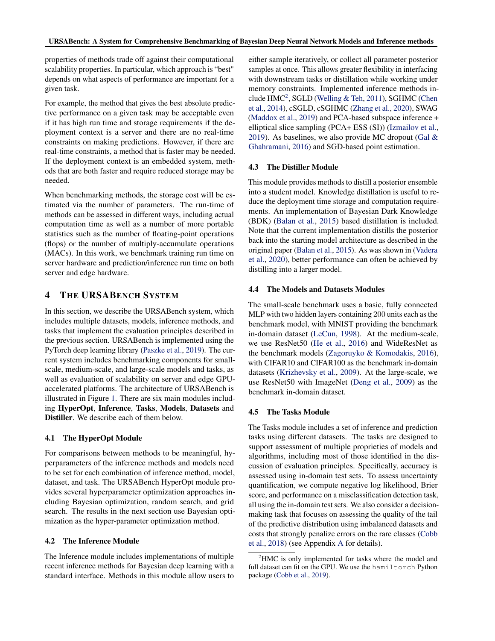<span id="page-5-0"></span>properties of methods trade off against their computational scalability properties. In particular, which approach is "best" depends on what aspects of performance are important for a given task.

For example, the method that gives the best absolute predictive performance on a given task may be acceptable even if it has high run time and storage requirements if the deployment context is a server and there are no real-time constraints on making predictions. However, if there are real-time constraints, a method that is faster may be needed. If the deployment context is an embedded system, methods that are both faster and require reduced storage may be needed.

When benchmarking methods, the storage cost will be estimated via the number of parameters. The run-time of methods can be assessed in different ways, including actual computation time as well as a number of more portable statistics such as the number of floating-point operations (flops) or the number of multiply-accumulate operations (MACs). In this work, we benchmark training run time on server hardware and prediction/inference run time on both server and edge hardware.

# 4 THE URSABENCH SYSTEM

In this section, we describe the URSABench system, which includes multiple datasets, models, inference methods, and tasks that implement the evaluation principles described in the previous section. URSABench is implemented using the PyTorch deep learning library [\(Paszke et al.,](#page-12-0) [2019\)](#page-12-0). The current system includes benchmarking components for smallscale, medium-scale, and large-scale models and tasks, as well as evaluation of scalability on server and edge GPUaccelerated platforms. The architecture of URSABench is illustrated in Figure [1.](#page-4-0) There are six main modules including HyperOpt, Inference, Tasks, Models, Datasets and Distiller. We describe each of them below.

## 4.1 The HyperOpt Module

For comparisons between methods to be meaningful, hyperparameters of the inference methods and models need to be set for each combination of inference method, model, dataset, and task. The URSABench HyperOpt module provides several hyperparameter optimization approaches including Bayesian optimization, random search, and grid search. The results in the next section use Bayesian optimization as the hyper-parameter optimization method.

#### 4.2 The Inference Module

The Inference module includes implementations of multiple recent inference methods for Bayesian deep learning with a standard interface. Methods in this module allow users to either sample iteratively, or collect all parameter posterior samples at once. This allows greater flexibility in interfacing with downstream tasks or distillation while working under memory constraints. Implemented inference methods include  $HMC^2$ , SGLD [\(Welling & Teh,](#page-12-0) [2011\)](#page-12-0), SGHMC [\(Chen](#page-10-0) [et al.,](#page-10-0) [2014\)](#page-10-0), cSGLD, cSGHMC [\(Zhang et al.,](#page-12-0) [2020\)](#page-12-0), SWAG [\(Maddox et al.,](#page-11-0) [2019\)](#page-11-0) and PCA-based subspace inference + elliptical slice sampling (PCA+ ESS (SI)) [\(Izmailov et al.,](#page-11-0) [2019\)](#page-11-0). As baselines, we also provide MC dropout (Gal  $\&$ [Ghahramani,](#page-11-0) [2016\)](#page-11-0) and SGD-based point estimation.

## 4.3 The Distiller Module

This module provides methods to distill a posterior ensemble into a student model. Knowledge distillation is useful to reduce the deployment time storage and computation requirements. An implementation of Bayesian Dark Knowledge (BDK) [\(Balan et al.,](#page-10-0) [2015\)](#page-10-0) based distillation is included. Note that the current implementation distills the posterior back into the starting model architecture as described in the original paper [\(Balan et al.,](#page-10-0) [2015\)](#page-10-0). As was shown in [\(Vadera](#page-12-0) [et al.,](#page-12-0) [2020\)](#page-12-0), better performance can often be achieved by distilling into a larger model.

## 4.4 The Models and Datasets Modules

The small-scale benchmark uses a basic, fully connected MLP with two hidden layers containing 200 units each as the benchmark model, with MNIST providing the benchmark in-domain dataset [\(LeCun,](#page-11-0) [1998\)](#page-11-0). At the medium-scale, we use ResNet50 [\(He et al.,](#page-11-0) [2016\)](#page-11-0) and WideResNet as the benchmark models [\(Zagoruyko & Komodakis,](#page-12-0) [2016\)](#page-12-0), with CIFAR10 and CIFAR100 as the benchmark in-domain datasets [\(Krizhevsky et al.,](#page-11-0) [2009\)](#page-11-0). At the large-scale, we use ResNet50 with ImageNet [\(Deng et al.,](#page-10-0) [2009\)](#page-10-0) as the benchmark in-domain dataset.

#### 4.5 The Tasks Module

The Tasks module includes a set of inference and prediction tasks using different datasets. The tasks are designed to support assessment of multiple proprieties of models and algorithms, including most of those identified in the discussion of evaluation principles. Specifically, accuracy is assessed using in-domain test sets. To assess uncertainty quantification, we compute negative log likelihood, Brier score, and performance on a misclassification detection task, all using the in-domain test sets. We also consider a decisionmaking task that focuses on assessing the quality of the tail of the predictive distribution using imbalanced datasets and costs that strongly penalize errors on the rare classes [\(Cobb](#page-10-0) [et al.,](#page-10-0) [2018\)](#page-10-0) (see Appendix [A](#page-12-0) for details).

<sup>&</sup>lt;sup>2</sup>HMC is only implemented for tasks where the model and full dataset can fit on the GPU. We use the hamiltorch Python package [\(Cobb et al.,](#page-10-0) [2019\)](#page-10-0).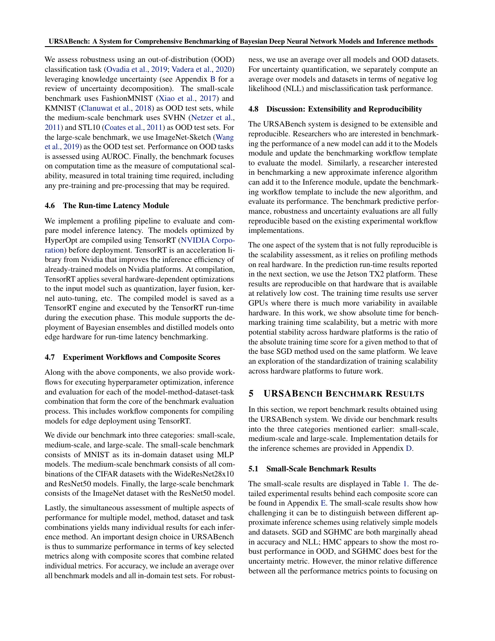<span id="page-6-0"></span>We assess robustness using an out-of-distribution (OOD) classification task [\(Ovadia et al.,](#page-12-0) [2019;](#page-12-0) [Vadera et al.,](#page-12-0) [2020\)](#page-12-0) leveraging knowledge uncertainty (see Appendix [B](#page-13-0) for a review of uncertainty decomposition). The small-scale benchmark uses FashionMNIST [\(Xiao et al.,](#page-12-0) [2017\)](#page-12-0) and KMNIST [\(Clanuwat et al.,](#page-10-0) [2018\)](#page-10-0) as OOD test sets, while the medium-scale benchmark uses SVHN [\(Netzer et al.,](#page-11-0) [2011\)](#page-11-0) and STL10 [\(Coates et al.,](#page-10-0) [2011\)](#page-10-0) as OOD test sets. For the large-scale benchmark, we use ImageNet-Sketch [\(Wang](#page-12-0) [et al.,](#page-12-0) [2019\)](#page-12-0) as the OOD test set. Performance on OOD tasks is assessed using AUROC. Finally, the benchmark focuses on computation time as the measure of computational scalability, measured in total training time required, including any pre-training and pre-processing that may be required.

## 4.6 The Run-time Latency Module

We implement a profiling pipeline to evaluate and compare model inference latency. The models optimized by HyperOpt are compiled using TensorRT [\(NVIDIA Corpo](#page-12-0)[ration\)](#page-12-0) before deployment. TensorRT is an acceleration library from Nvidia that improves the inference efficiency of already-trained models on Nvidia platforms. At compilation, TensorRT applies several hardware-dependent optimizations to the input model such as quantization, layer fusion, kernel auto-tuning, etc. The compiled model is saved as a TensorRT engine and executed by the TensorRT run-time during the execution phase. This module supports the deployment of Bayesian ensembles and distilled models onto edge hardware for run-time latency benchmarking.

#### 4.7 Experiment Workflows and Composite Scores

Along with the above components, we also provide workflows for executing hyperparameter optimization, inference and evaluation for each of the model-method-dataset-task combination that form the core of the benchmark evaluation process. This includes workflow components for compiling models for edge deployment using TensorRT.

We divide our benchmark into three categories: small-scale, medium-scale, and large-scale. The small-scale benchmark consists of MNIST as its in-domain dataset using MLP models. The medium-scale benchmark consists of all combinations of the CIFAR datasets with the WideResNet28x10 and ResNet50 models. Finally, the large-scale benchmark consists of the ImageNet dataset with the ResNet50 model.

Lastly, the simultaneous assessment of multiple aspects of performance for multiple model, method, dataset and task combinations yields many individual results for each inference method. An important design choice in URSABench is thus to summarize performance in terms of key selected metrics along with composite scores that combine related individual metrics. For accuracy, we include an average over all benchmark models and all in-domain test sets. For robustness, we use an average over all models and OOD datasets. For uncertainty quantification, we separately compute an average over models and datasets in terms of negative log likelihood (NLL) and misclassification task performance.

#### 4.8 Discussion: Extensibility and Reproducibility

The URSABench system is designed to be extensible and reproducible. Researchers who are interested in benchmarking the performance of a new model can add it to the Models module and update the benchmarking workflow template to evaluate the model. Similarly, a researcher interested in benchmarking a new approximate inference algorithm can add it to the Inference module, update the benchmarking workflow template to include the new algorithm, and evaluate its performance. The benchmark predictive performance, robustness and uncertainty evaluations are all fully reproducible based on the existing experimental workflow implementations.

The one aspect of the system that is not fully reproducible is the scalability assessment, as it relies on profiling methods on real hardware. In the prediction run-time results reported in the next section, we use the Jetson TX2 platform. These results are reproducible on that hardware that is available at relatively low cost. The training time results use server GPUs where there is much more variability in available hardware. In this work, we show absolute time for benchmarking training time scalability, but a metric with more potential stability across hardware platforms is the ratio of the absolute training time score for a given method to that of the base SGD method used on the same platform. We leave an exploration of the standardization of training scalability across hardware platforms to future work.

# 5 URSABENCH BENCHMARK RESULTS

In this section, we report benchmark results obtained using the URSABench system. We divide our benchmark results into the three categories mentioned earlier: small-scale, medium-scale and large-scale. Implementation details for the inference schemes are provided in Appendix [D.](#page-13-0)

#### 5.1 Small-Scale Benchmark Results

The small-scale results are displayed in Table [1.](#page-7-0) The detailed experimental results behind each composite score can be found in Appendix [E.](#page-14-0) The small-scale results show how challenging it can be to distinguish between different approximate inference schemes using relatively simple models and datasets. SGD and SGHMC are both marginally ahead in accuracy and NLL; HMC appears to show the most robust performance in OOD, and SGHMC does best for the uncertainty metric. However, the minor relative difference between all the performance metrics points to focusing on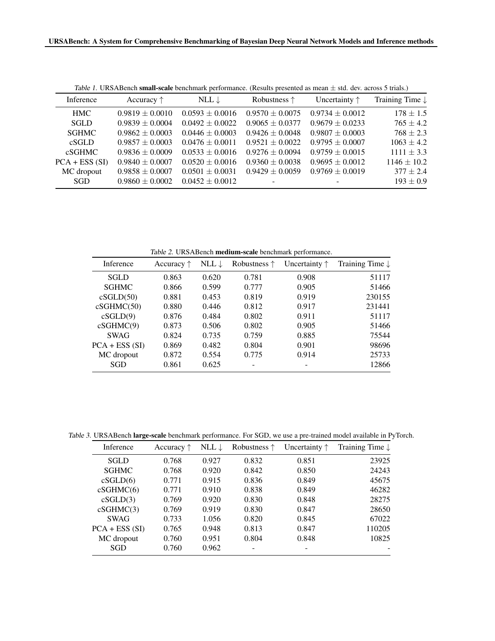<span id="page-7-0"></span>

| Table 1. CRO/RDChen sinan scare benemiatik performance. (Resalts presented as mean ± std. dev. across 5 trials.) |                     |                     |                       |                        |                            |  |  |
|------------------------------------------------------------------------------------------------------------------|---------------------|---------------------|-----------------------|------------------------|----------------------------|--|--|
| Inference                                                                                                        | Accuracy $\uparrow$ | NLL $\downarrow$    | Robustness $\uparrow$ | Uncertainty $\uparrow$ | Training Time $\downarrow$ |  |  |
| <b>HMC</b>                                                                                                       | $0.9819 \pm 0.0010$ | $0.0593 \pm 0.0016$ | $0.9570 \pm 0.0075$   | $0.9734 + 0.0012$      | $178 \pm 1.5$              |  |  |
| <b>SGLD</b>                                                                                                      | $0.9839 \pm 0.0004$ | $0.0492 \pm 0.0022$ | $0.9065 + 0.0377$     | $0.9679 \pm 0.0233$    | $765 \pm 4.2$              |  |  |
| <b>SGHMC</b>                                                                                                     | $0.9862 \pm 0.0003$ | $0.0446 \pm 0.0003$ | $0.9426 \pm 0.0048$   | $0.9807 + 0.0003$      | $768 \pm 2.3$              |  |  |
| cSGLD                                                                                                            | $0.9857 + 0.0003$   | $0.0476 \pm 0.0011$ | $0.9521 \pm 0.0022$   | $0.9795 \pm 0.0007$    | $1063 \pm 4.2$             |  |  |
| cSGHMC                                                                                                           | $0.9836 \pm 0.0009$ | $0.0533 \pm 0.0016$ | $0.9276 \pm 0.0094$   | $0.9759 \pm 0.0015$    | $1111 \pm 3.3$             |  |  |
| $PCA + ESS(SI)$                                                                                                  | $0.9840 \pm 0.0007$ | $0.0520 \pm 0.0016$ | $0.9360 \pm 0.0038$   | $0.9695 + 0.0012$      | $1146 \pm 10.2$            |  |  |
| MC dropout                                                                                                       | $0.9858 \pm 0.0007$ | $0.0501 \pm 0.0031$ | $0.9429 \pm 0.0059$   | $0.9769 \pm 0.0019$    | $377 + 2.4$                |  |  |
| SGD.                                                                                                             | $0.9860 \pm 0.0002$ | $0.0452 \pm 0.0012$ |                       |                        | $193 \pm 0.9$              |  |  |

Table 1. URSABench small-scale benchmark performance. (Results presented as mean  $\pm$  std. dev. across 5 trials.)

Table 2. URSABench medium-scale benchmark performance.

| <i>rable 2.</i> CKS/ADCIICII <b>IIIculuiii-scale</b> Octiciniial R performance. |                     |                  |                       |                        |                            |  |  |  |  |
|---------------------------------------------------------------------------------|---------------------|------------------|-----------------------|------------------------|----------------------------|--|--|--|--|
| Inference                                                                       | Accuracy $\uparrow$ | NLL $\downarrow$ | Robustness $\uparrow$ | Uncertainty $\uparrow$ | Training Time $\downarrow$ |  |  |  |  |
| SGLD                                                                            | 0.863               | 0.620            | 0.781                 | 0.908                  | 51117                      |  |  |  |  |
| <b>SGHMC</b>                                                                    | 0.866               | 0.599            | 0.777                 | 0.905                  | 51466                      |  |  |  |  |
| cSGLD(50)                                                                       | 0.881               | 0.453            | 0.819                 | 0.919                  | 230155                     |  |  |  |  |
| cSGHMC(50)                                                                      | 0.880               | 0.446            | 0.812                 | 0.917                  | 231441                     |  |  |  |  |
| cSGLD(9)                                                                        | 0.876               | 0.484            | 0.802                 | 0.911                  | 51117                      |  |  |  |  |
| cSGHMC(9)                                                                       | 0.873               | 0.506            | 0.802                 | 0.905                  | 51466                      |  |  |  |  |
| <b>SWAG</b>                                                                     | 0.824               | 0.735            | 0.759                 | 0.885                  | 75544                      |  |  |  |  |
| $PCA + ESS(SI)$                                                                 | 0.869               | 0.482            | 0.804                 | 0.901                  | 98696                      |  |  |  |  |
| MC dropout                                                                      | 0.872               | 0.554            | 0.775                 | 0.914                  | 25733                      |  |  |  |  |
| SGD                                                                             | 0.861               | 0.625            |                       |                        | 12866                      |  |  |  |  |

Table 3. URSABench large-scale benchmark performance. For SGD, we use a pre-trained model available in PyTorch.

| Inference       | Accuracy $\uparrow$ | NLL $\downarrow$ | Robustness $\uparrow$ | Uncertainty $\uparrow$ | Training Time $\downarrow$ |
|-----------------|---------------------|------------------|-----------------------|------------------------|----------------------------|
| <b>SGLD</b>     | 0.768               | 0.927            | 0.832                 | 0.851                  | 23925                      |
| <b>SGHMC</b>    | 0.768               | 0.920            | 0.842                 | 0.850                  | 24243                      |
| cSGLD(6)        | 0.771               | 0.915            | 0.836                 | 0.849                  | 45675                      |
| cSGHMC(6)       | 0.771               | 0.910            | 0.838                 | 0.849                  | 46282                      |
| cSGLD(3)        | 0.769               | 0.920            | 0.830                 | 0.848                  | 28275                      |
| cSGHMC(3)       | 0.769               | 0.919            | 0.830                 | 0.847                  | 28650                      |
| <b>SWAG</b>     | 0.733               | 1.056            | 0.820                 | 0.845                  | 67022                      |
| $PCA + ESS(SI)$ | 0.765               | 0.948            | 0.813                 | 0.847                  | 110205                     |
| MC dropout      | 0.760               | 0.951            | 0.804                 | 0.848                  | 10825                      |
| <b>SGD</b>      | 0.760               | 0.962            |                       |                        |                            |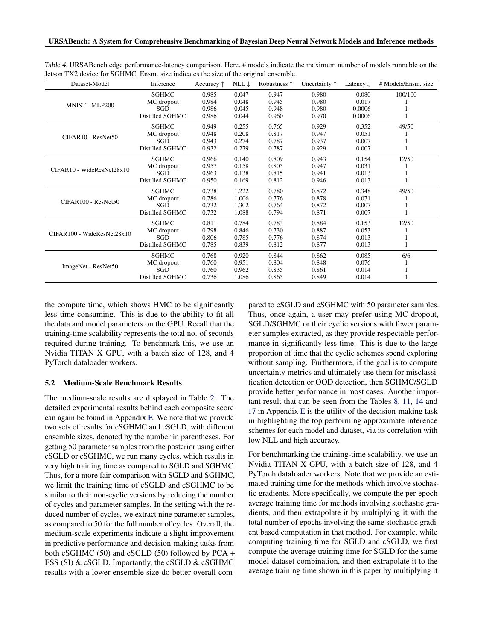| Dataset-Model                              | Inference       | Accuracy $\uparrow$ | NLL $\downarrow$ | Robustness $\uparrow$ | Uncertainty $\uparrow$ | Latency $\downarrow$ | # Models/Ensm. size |
|--------------------------------------------|-----------------|---------------------|------------------|-----------------------|------------------------|----------------------|---------------------|
|                                            | <b>SGHMC</b>    | 0.985               | 0.047            | 0.947                 | 0.980                  | 0.080                | 100/100             |
| MNIST - MLP200                             | MC dropout      | 0.984               | 0.048            | 0.945                 | 0.980                  | 0.017                |                     |
|                                            | SGD             | 0.986               | 0.045            | 0.948                 | 0.980                  | 0.0006               |                     |
|                                            | Distilled SGHMC | 0.986               | 0.044            | 0.960                 | 0.970                  | 0.0006               |                     |
|                                            | <b>SGHMC</b>    | 0.949               | 0.255            | 0.765                 | 0.929                  | 0.352                | 49/50               |
| CIFAR <sub>10</sub> - ResNet <sub>50</sub> | MC dropout      | 0.948               | 0.208            | 0.817                 | 0.947                  | 0.051                |                     |
|                                            | SGD             | 0.943               | 0.274            | 0.787                 | 0.937                  | 0.007                |                     |
|                                            | Distilled SGHMC | 0.932               | 0.279            | 0.787                 | 0.929                  | 0.007                |                     |
|                                            | <b>SGHMC</b>    | 0.966               | 0.140            | 0.809                 | 0.943                  | 0.154                | 12/50               |
| CIFAR10 - WideResNet28x10                  | MC dropout      | 0.957               | 0.158            | 0.805                 | 0.947                  | 0.031                |                     |
|                                            | SGD             | 0.963               | 0.138            | 0.815                 | 0.941                  | 0.013                |                     |
|                                            | Distilled SGHMC | 0.950               | 0.169            | 0.812                 | 0.946                  | 0.013                |                     |
|                                            | <b>SGHMC</b>    | 0.738               | 1.222            | 0.780                 | 0.872                  | 0.348                | 49/50               |
| $CIFAR100 - ResNet50$                      | MC dropout      | 0.786               | 1.006            | 0.776                 | 0.878                  | 0.071                |                     |
|                                            | SGD             | 0.732               | 1.302            | 0.764                 | 0.872                  | 0.007                |                     |
|                                            | Distilled SGHMC | 0.732               | 1.088            | 0.794                 | 0.871                  | 0.007                |                     |
|                                            | <b>SGHMC</b>    | 0.811               | 0.784            | 0.783                 | 0.884                  | 0.153                | 12/50               |
| CIFAR100 - WideResNet28x10                 | MC dropout      | 0.798               | 0.846            | 0.730                 | 0.887                  | 0.053                |                     |
|                                            | SGD             | 0.806               | 0.785            | 0.776                 | 0.874                  | 0.013                |                     |
|                                            | Distilled SGHMC | 0.785               | 0.839            | 0.812                 | 0.877                  | 0.013                |                     |
|                                            | <b>SGHMC</b>    | 0.768               | 0.920            | 0.844                 | 0.862                  | 0.085                | 6/6                 |
| ImageNet - ResNet50                        | MC dropout      | 0.760               | 0.951            | 0.804                 | 0.848                  | 0.076                |                     |
|                                            | SGD             | 0.760               | 0.962            | 0.835                 | 0.861                  | 0.014                |                     |
|                                            | Distilled SGHMC | 0.736               | 1.086            | 0.865                 | 0.849                  | 0.014                |                     |

<span id="page-8-0"></span>Table 4. URSABench edge performance-latency comparison. Here, # models indicate the maximum number of models runnable on the Jetson TX2 device for SGHMC. Ensm. size indicates the size of the original ensemble.

the compute time, which shows HMC to be significantly less time-consuming. This is due to the ability to fit all the data and model parameters on the GPU. Recall that the training-time scalability represents the total no. of seconds required during training. To benchmark this, we use an Nvidia TITAN X GPU, with a batch size of 128, and 4 PyTorch dataloader workers.

## 5.2 Medium-Scale Benchmark Results

The medium-scale results are displayed in Table [2.](#page-7-0) The detailed experimental results behind each composite score can again be found in Appendix [E.](#page-14-0) We note that we provide two sets of results for cSGHMC and cSGLD, with different ensemble sizes, denoted by the number in parentheses. For getting 50 parameter samples from the posterior using either cSGLD or cSGHMC, we run many cycles, which results in very high training time as compared to SGLD and SGHMC. Thus, for a more fair comparison with SGLD and SGHMC, we limit the training time of cSGLD and cSGHMC to be similar to their non-cyclic versions by reducing the number of cycles and parameter samples. In the setting with the reduced number of cycles, we extract nine parameter samples, as compared to 50 for the full number of cycles. Overall, the medium-scale experiments indicate a slight improvement in predictive performance and decision-making tasks from both cSGHMC (50) and cSGLD (50) followed by PCA  $+$ ESS (SI) & cSGLD. Importantly, the cSGLD & cSGHMC results with a lower ensemble size do better overall compared to cSGLD and cSGHMC with 50 parameter samples. Thus, once again, a user may prefer using MC dropout, SGLD/SGHMC or their cyclic versions with fewer parameter samples extracted, as they provide respectable performance in significantly less time. This is due to the large proportion of time that the cyclic schemes spend exploring without sampling. Furthermore, if the goal is to compute uncertainty metrics and ultimately use them for misclassification detection or OOD detection, then SGHMC/SGLD provide better performance in most cases. Another important result that can be seen from the Tables [8,](#page-16-0) [11,](#page-17-0) [14](#page-18-0) and [17](#page-19-0) in Appendix [E](#page-14-0) is the utility of the decision-making task in highlighting the top performing approximate inference schemes for each model and dataset, via its correlation with low NLL and high accuracy.

For benchmarking the training-time scalability, we use an Nvidia TITAN X GPU, with a batch size of 128, and 4 PyTorch dataloader workers. Note that we provide an estimated training time for the methods which involve stochastic gradients. More specifically, we compute the per-epoch average training time for methods involving stochastic gradients, and then extrapolate it by multiplying it with the total number of epochs involving the same stochastic gradient based computation in that method. For example, while computing training time for SGLD and cSGLD, we first compute the average training time for SGLD for the same model-dataset combination, and then extrapolate it to the average training time shown in this paper by multiplying it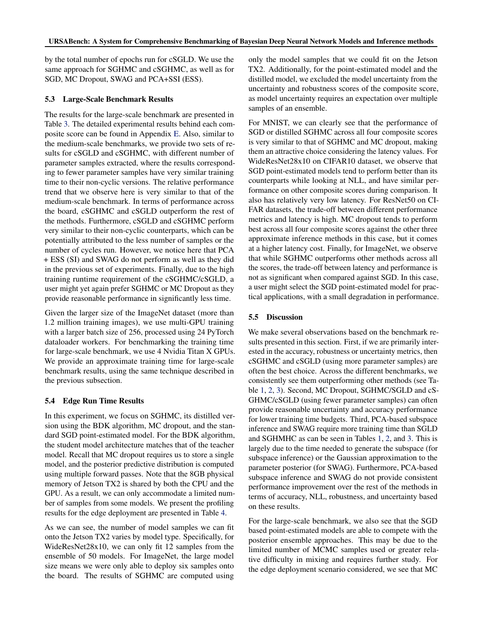by the total number of epochs run for cSGLD. We use the same approach for SGHMC and cSGHMC, as well as for SGD, MC Dropout, SWAG and PCA+SSI (ESS).

#### 5.3 Large-Scale Benchmark Results

The results for the large-scale benchmark are presented in Table [3.](#page-7-0) The detailed experimental results behind each composite score can be found in Appendix [E.](#page-14-0) Also, similar to the medium-scale benchmarks, we provide two sets of results for cSGLD and cSGHMC, with different number of parameter samples extracted, where the results corresponding to fewer parameter samples have very similar training time to their non-cyclic versions. The relative performance trend that we observe here is very similar to that of the medium-scale benchmark. In terms of performance across the board, cSGHMC and cSGLD outperform the rest of the methods. Furthermore, cSGLD and cSGHMC perform very similar to their non-cyclic counterparts, which can be potentially attributed to the less number of samples or the number of cycles run. However, we notice here that PCA + ESS (SI) and SWAG do not perform as well as they did in the previous set of experiments. Finally, due to the high training runtime requirement of the cSGHMC/cSGLD, a user might yet again prefer SGHMC or MC Dropout as they provide reasonable performance in significantly less time.

Given the larger size of the ImageNet dataset (more than 1.2 million training images), we use multi-GPU training with a larger batch size of 256, processed using 24 PyTorch dataloader workers. For benchmarking the training time for large-scale benchmark, we use 4 Nvidia Titan X GPUs. We provide an approximate training time for large-scale benchmark results, using the same technique described in the previous subsection.

#### 5.4 Edge Run Time Results

In this experiment, we focus on SGHMC, its distilled version using the BDK algorithm, MC dropout, and the standard SGD point-estimated model. For the BDK algorithm, the student model architecture matches that of the teacher model. Recall that MC dropout requires us to store a single model, and the posterior predictive distribution is computed using multiple forward passes. Note that the 8GB physical memory of Jetson TX2 is shared by both the CPU and the GPU. As a result, we can only accommodate a limited number of samples from some models. We present the profiling results for the edge deployment are presented in Table [4.](#page-8-0)

As we can see, the number of model samples we can fit onto the Jetson TX2 varies by model type. Specifically, for WideResNet28x10, we can only fit 12 samples from the ensemble of 50 models. For ImageNet, the large model size means we were only able to deploy six samples onto the board. The results of SGHMC are computed using

only the model samples that we could fit on the Jetson TX2. Additionally, for the point-estimated model and the distilled model, we excluded the model uncertainty from the uncertainty and robustness scores of the composite score, as model uncertainty requires an expectation over multiple samples of an ensemble.

For MNIST, we can clearly see that the performance of SGD or distilled SGHMC across all four composite scores is very similar to that of SGHMC and MC dropout, making them an attractive choice considering the latency values. For WideResNet28x10 on CIFAR10 dataset, we observe that SGD point-estimated models tend to perform better than its counterparts while looking at NLL, and have similar performance on other composite scores during comparison. It also has relatively very low latency. For ResNet50 on CI-FAR datasets, the trade-off between different performance metrics and latency is high. MC dropout tends to perform best across all four composite scores against the other three approximate inference methods in this case, but it comes at a higher latency cost. Finally, for ImageNet, we observe that while SGHMC outperforms other methods across all the scores, the trade-off between latency and performance is not as significant when compared against SGD. In this case, a user might select the SGD point-estimated model for practical applications, with a small degradation in performance.

#### 5.5 Discussion

We make several observations based on the benchmark results presented in this section. First, if we are primarily interested in the accuracy, robustness or uncertainty metrics, then cSGHMC and cSGLD (using more parameter samples) are often the best choice. Across the different benchmarks, we consistently see them outperforming other methods (see Table [1,](#page-7-0) [2,](#page-7-0) [3\)](#page-7-0). Second, MC Dropout, SGHMC/SGLD and cS-GHMC/cSGLD (using fewer parameter samples) can often provide reasonable uncertainty and accuracy performance for lower training time budgets. Third, PCA-based subspace inference and SWAG require more training time than SGLD and SGHMHC as can be seen in Tables [1,](#page-7-0) [2,](#page-7-0) and [3.](#page-7-0) This is largely due to the time needed to generate the subspace (for subspace inference) or the Gaussian approximation to the parameter posterior (for SWAG). Furthermore, PCA-based subspace inference and SWAG do not provide consistent performance improvement over the rest of the methods in terms of accuracy, NLL, robustness, and uncertainty based on these results.

For the large-scale benchmark, we also see that the SGD based point-estimated models are able to compete with the posterior ensemble approaches. This may be due to the limited number of MCMC samples used or greater relative difficulty in mixing and requires further study. For the edge deployment scenario considered, we see that MC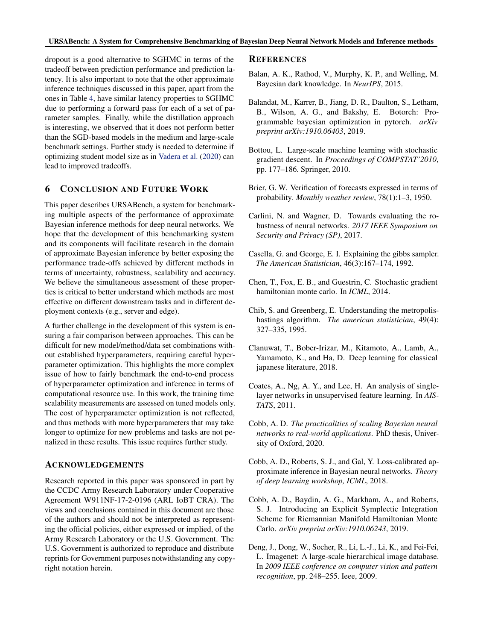<span id="page-10-0"></span>dropout is a good alternative to SGHMC in terms of the tradeoff between prediction performance and prediction latency. It is also important to note that the other approximate inference techniques discussed in this paper, apart from the ones in Table [4,](#page-8-0) have similar latency properties to SGHMC due to performing a forward pass for each of a set of parameter samples. Finally, while the distillation approach is interesting, we observed that it does not perform better than the SGD-based models in the medium and large-scale benchmark settings. Further study is needed to determine if optimizing student model size as in [Vadera et al.](#page-12-0) [\(2020\)](#page-12-0) can lead to improved tradeoffs.

# 6 CONCLUSION AND FUTURE WORK

This paper describes URSABench, a system for benchmarking multiple aspects of the performance of approximate Bayesian inference methods for deep neural networks. We hope that the development of this benchmarking system and its components will facilitate research in the domain of approximate Bayesian inference by better exposing the performance trade-offs achieved by different methods in terms of uncertainty, robustness, scalability and accuracy. We believe the simultaneous assessment of these properties is critical to better understand which methods are most effective on different downstream tasks and in different deployment contexts (e.g., server and edge).

A further challenge in the development of this system is ensuring a fair comparison between approaches. This can be difficult for new model/method/data set combinations without established hyperparameters, requiring careful hyperparameter optimization. This highlights the more complex issue of how to fairly benchmark the end-to-end process of hyperparameter optimization and inference in terms of computational resource use. In this work, the training time scalability measurements are assessed on tuned models only. The cost of hyperparameter optimization is not reflected, and thus methods with more hyperparameters that may take longer to optimize for new problems and tasks are not penalized in these results. This issue requires further study.

#### ACKNOWLEDGEMENTS

Research reported in this paper was sponsored in part by the CCDC Army Research Laboratory under Cooperative Agreement W911NF-17-2-0196 (ARL IoBT CRA). The views and conclusions contained in this document are those of the authors and should not be interpreted as representing the official policies, either expressed or implied, of the Army Research Laboratory or the U.S. Government. The U.S. Government is authorized to reproduce and distribute reprints for Government purposes notwithstanding any copyright notation herein.

#### REFERENCES

- Balan, A. K., Rathod, V., Murphy, K. P., and Welling, M. Bayesian dark knowledge. In *NeurIPS*, 2015.
- Balandat, M., Karrer, B., Jiang, D. R., Daulton, S., Letham, B., Wilson, A. G., and Bakshy, E. Botorch: Programmable bayesian optimization in pytorch. *arXiv preprint arXiv:1910.06403*, 2019.
- Bottou, L. Large-scale machine learning with stochastic gradient descent. In *Proceedings of COMPSTAT'2010*, pp. 177–186. Springer, 2010.
- Brier, G. W. Verification of forecasts expressed in terms of probability. *Monthly weather review*, 78(1):1–3, 1950.
- Carlini, N. and Wagner, D. Towards evaluating the robustness of neural networks. *2017 IEEE Symposium on Security and Privacy (SP)*, 2017.
- Casella, G. and George, E. I. Explaining the gibbs sampler. *The American Statistician*, 46(3):167–174, 1992.
- Chen, T., Fox, E. B., and Guestrin, C. Stochastic gradient hamiltonian monte carlo. In *ICML*, 2014.
- Chib, S. and Greenberg, E. Understanding the metropolishastings algorithm. *The american statistician*, 49(4): 327–335, 1995.
- Clanuwat, T., Bober-Irizar, M., Kitamoto, A., Lamb, A., Yamamoto, K., and Ha, D. Deep learning for classical japanese literature, 2018.
- Coates, A., Ng, A. Y., and Lee, H. An analysis of singlelayer networks in unsupervised feature learning. In *AIS-TATS*, 2011.
- Cobb, A. D. *The practicalities of scaling Bayesian neural networks to real-world applications*. PhD thesis, University of Oxford, 2020.
- Cobb, A. D., Roberts, S. J., and Gal, Y. Loss-calibrated approximate inference in Bayesian neural networks. *Theory of deep learning workshop, ICML*, 2018.
- Cobb, A. D., Baydin, A. G., Markham, A., and Roberts, S. J. Introducing an Explicit Symplectic Integration Scheme for Riemannian Manifold Hamiltonian Monte Carlo. *arXiv preprint arXiv:1910.06243*, 2019.
- Deng, J., Dong, W., Socher, R., Li, L.-J., Li, K., and Fei-Fei, L. Imagenet: A large-scale hierarchical image database. In *2009 IEEE conference on computer vision and pattern recognition*, pp. 248–255. Ieee, 2009.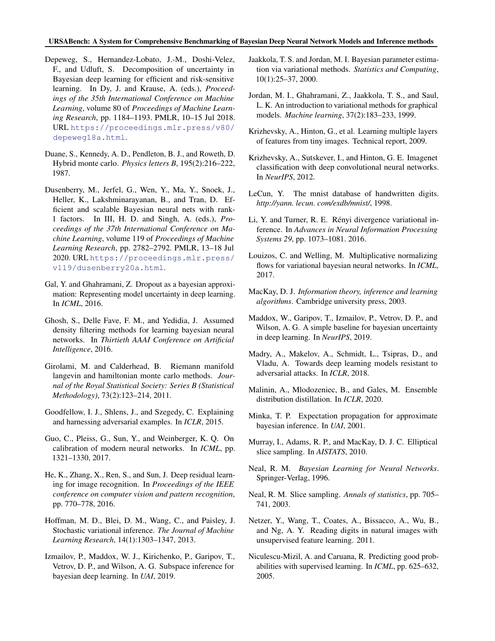#### <span id="page-11-0"></span>URSABench: A System for Comprehensive Benchmarking of Bayesian Deep Neural Network Models and Inference methods

- Depeweg, S., Hernandez-Lobato, J.-M., Doshi-Velez, F., and Udluft, S. Decomposition of uncertainty in Bayesian deep learning for efficient and risk-sensitive learning. In Dy, J. and Krause, A. (eds.), *Proceedings of the 35th International Conference on Machine Learning*, volume 80 of *Proceedings of Machine Learning Research*, pp. 1184–1193. PMLR, 10–15 Jul 2018. URL [https://proceedings.mlr.press/v80/](https://proceedings.mlr.press/v80/depeweg18a.html) [depeweg18a.html](https://proceedings.mlr.press/v80/depeweg18a.html).
- Duane, S., Kennedy, A. D., Pendleton, B. J., and Roweth, D. Hybrid monte carlo. *Physics letters B*, 195(2):216–222, 1987.
- Dusenberry, M., Jerfel, G., Wen, Y., Ma, Y., Snoek, J., Heller, K., Lakshminarayanan, B., and Tran, D. Efficient and scalable Bayesian neural nets with rank-1 factors. In III, H. D. and Singh, A. (eds.), *Proceedings of the 37th International Conference on Machine Learning*, volume 119 of *Proceedings of Machine Learning Research*, pp. 2782–2792. PMLR, 13–18 Jul 2020. URL [https://proceedings.mlr.press/](https://proceedings.mlr.press/v119/dusenberry20a.html) [v119/dusenberry20a.html](https://proceedings.mlr.press/v119/dusenberry20a.html).
- Gal, Y. and Ghahramani, Z. Dropout as a bayesian approximation: Representing model uncertainty in deep learning. In *ICML*, 2016.
- Ghosh, S., Delle Fave, F. M., and Yedidia, J. Assumed density filtering methods for learning bayesian neural networks. In *Thirtieth AAAI Conference on Artificial Intelligence*, 2016.
- Girolami, M. and Calderhead, B. Riemann manifold langevin and hamiltonian monte carlo methods. *Journal of the Royal Statistical Society: Series B (Statistical Methodology)*, 73(2):123–214, 2011.
- Goodfellow, I. J., Shlens, J., and Szegedy, C. Explaining and harnessing adversarial examples. In *ICLR*, 2015.
- Guo, C., Pleiss, G., Sun, Y., and Weinberger, K. Q. On calibration of modern neural networks. In *ICML*, pp. 1321–1330, 2017.
- He, K., Zhang, X., Ren, S., and Sun, J. Deep residual learning for image recognition. In *Proceedings of the IEEE conference on computer vision and pattern recognition*, pp. 770–778, 2016.
- Hoffman, M. D., Blei, D. M., Wang, C., and Paisley, J. Stochastic variational inference. *The Journal of Machine Learning Research*, 14(1):1303–1347, 2013.
- Izmailov, P., Maddox, W. J., Kirichenko, P., Garipov, T., Vetrov, D. P., and Wilson, A. G. Subspace inference for bayesian deep learning. In *UAI*, 2019.
- Jaakkola, T. S. and Jordan, M. I. Bayesian parameter estimation via variational methods. *Statistics and Computing*, 10(1):25–37, 2000.
- Jordan, M. I., Ghahramani, Z., Jaakkola, T. S., and Saul, L. K. An introduction to variational methods for graphical models. *Machine learning*, 37(2):183–233, 1999.
- Krizhevsky, A., Hinton, G., et al. Learning multiple layers of features from tiny images. Technical report, 2009.
- Krizhevsky, A., Sutskever, I., and Hinton, G. E. Imagenet classification with deep convolutional neural networks. In *NeurIPS*, 2012.
- LeCun, Y. The mnist database of handwritten digits. *http://yann. lecun. com/exdb/mnist/*, 1998.
- Li, Y. and Turner, R. E. Rényi divergence variational inference. In *Advances in Neural Information Processing Systems 29*, pp. 1073–1081. 2016.
- Louizos, C. and Welling, M. Multiplicative normalizing flows for variational bayesian neural networks. In *ICML*, 2017.
- MacKay, D. J. *Information theory, inference and learning algorithms*. Cambridge university press, 2003.
- Maddox, W., Garipov, T., Izmailov, P., Vetrov, D. P., and Wilson, A. G. A simple baseline for bayesian uncertainty in deep learning. In *NeurIPS*, 2019.
- Madry, A., Makelov, A., Schmidt, L., Tsipras, D., and Vladu, A. Towards deep learning models resistant to adversarial attacks. In *ICLR*, 2018.
- Malinin, A., Mlodozeniec, B., and Gales, M. Ensemble distribution distillation. In *ICLR*, 2020.
- Minka, T. P. Expectation propagation for approximate bayesian inference. In *UAI*, 2001.
- Murray, I., Adams, R. P., and MacKay, D. J. C. Elliptical slice sampling. In *AISTATS*, 2010.
- Neal, R. M. *Bayesian Learning for Neural Networks*. Springer-Verlag, 1996.
- Neal, R. M. Slice sampling. *Annals of statistics*, pp. 705– 741, 2003.
- Netzer, Y., Wang, T., Coates, A., Bissacco, A., Wu, B., and Ng, A. Y. Reading digits in natural images with unsupervised feature learning. 2011.
- Niculescu-Mizil, A. and Caruana, R. Predicting good probabilities with supervised learning. In *ICML*, pp. 625–632, 2005.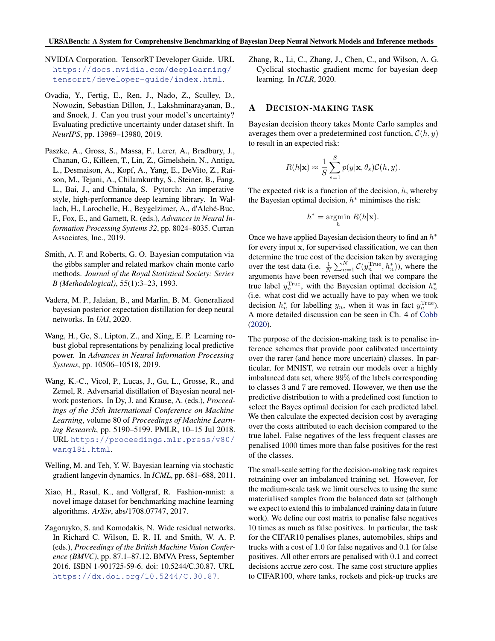- <span id="page-12-0"></span>NVIDIA Corporation. TensorRT Developer Guide. URL [https://docs.nvidia.com/deeplearning/](https://docs.nvidia.com/deeplearning/tensorrt/developer-guide/index.html) [tensorrt/developer-guide/index.html](https://docs.nvidia.com/deeplearning/tensorrt/developer-guide/index.html).
- Ovadia, Y., Fertig, E., Ren, J., Nado, Z., Sculley, D., Nowozin, Sebastian Dillon, J., Lakshminarayanan, B., and Snoek, J. Can you trust your model's uncertainty? Evaluating predictive uncertainty under dataset shift. In *NeurIPS*, pp. 13969–13980, 2019.
- Paszke, A., Gross, S., Massa, F., Lerer, A., Bradbury, J., Chanan, G., Killeen, T., Lin, Z., Gimelshein, N., Antiga, L., Desmaison, A., Kopf, A., Yang, E., DeVito, Z., Raison, M., Tejani, A., Chilamkurthy, S., Steiner, B., Fang, L., Bai, J., and Chintala, S. Pytorch: An imperative style, high-performance deep learning library. In Wallach, H., Larochelle, H., Beygelzimer, A., d'Alché-Buc, F., Fox, E., and Garnett, R. (eds.), *Advances in Neural Information Processing Systems 32*, pp. 8024–8035. Curran Associates, Inc., 2019.
- Smith, A. F. and Roberts, G. O. Bayesian computation via the gibbs sampler and related markov chain monte carlo methods. *Journal of the Royal Statistical Society: Series B (Methodological)*, 55(1):3–23, 1993.
- Vadera, M. P., Jalaian, B., and Marlin, B. M. Generalized bayesian posterior expectation distillation for deep neural networks. In *UAI*, 2020.
- Wang, H., Ge, S., Lipton, Z., and Xing, E. P. Learning robust global representations by penalizing local predictive power. In *Advances in Neural Information Processing Systems*, pp. 10506–10518, 2019.
- Wang, K.-C., Vicol, P., Lucas, J., Gu, L., Grosse, R., and Zemel, R. Adversarial distillation of Bayesian neural network posteriors. In Dy, J. and Krause, A. (eds.), *Proceedings of the 35th International Conference on Machine Learning*, volume 80 of *Proceedings of Machine Learning Research*, pp. 5190–5199. PMLR, 10–15 Jul 2018. URL [https://proceedings.mlr.press/v80/](https://proceedings.mlr.press/v80/wang18i.html) [wang18i.html](https://proceedings.mlr.press/v80/wang18i.html).
- Welling, M. and Teh, Y. W. Bayesian learning via stochastic gradient langevin dynamics. In *ICML*, pp. 681–688, 2011.
- Xiao, H., Rasul, K., and Vollgraf, R. Fashion-mnist: a novel image dataset for benchmarking machine learning algorithms. *ArXiv*, abs/1708.07747, 2017.
- Zagoruyko, S. and Komodakis, N. Wide residual networks. In Richard C. Wilson, E. R. H. and Smith, W. A. P. (eds.), *Proceedings of the British Machine Vision Conference (BMVC)*, pp. 87.1–87.12. BMVA Press, September 2016. ISBN 1-901725-59-6. doi: 10.5244/C.30.87. URL <https://dx.doi.org/10.5244/C.30.87>.

Zhang, R., Li, C., Zhang, J., Chen, C., and Wilson, A. G. Cyclical stochastic gradient mcmc for bayesian deep learning. In *ICLR*, 2020.

## A DECISION-MAKING TASK

Bayesian decision theory takes Monte Carlo samples and averages them over a predetermined cost function,  $C(h, y)$ to result in an expected risk:

$$
R(h|\mathbf{x}) \approx \frac{1}{S} \sum_{s=1}^{S} p(y|\mathbf{x}, \theta_s) \mathcal{C}(h, y).
$$

The expected risk is a function of the decision,  $h$ , whereby the Bayesian optimal decision,  $h^*$  minimises the risk:

$$
h^* = \operatorname*{argmin}_{h} R(h|\mathbf{x}).
$$

Once we have applied Bayesian decision theory to find an  $h^*$ for every input x, for supervised classification, we can then determine the true cost of the decision taken by averaging over the test data (i.e.  $\frac{1}{N} \sum_{n=1}^{N} C(y_n^{\text{True}}, h_n^*))$ , where the arguments have been reversed such that we compare the true label  $y_n^{\text{True}}$ , with the Bayesian optimal decision  $h_n^*$ (i.e. what cost did we actually have to pay when we took decision  $h_n^*$  for labelling  $y_n$ , when it was in fact  $y_n^{\text{True}}$ ). A more detailed discussion can be seen in Ch. 4 of [Cobb](#page-10-0) [\(2020\)](#page-10-0).

The purpose of the decision-making task is to penalise inference schemes that provide poor calibrated uncertainty over the rarer (and hence more uncertain) classes. In particular, for MNIST, we retrain our models over a highly imbalanced data set, where 99% of the labels corresponding to classes 3 and 7 are removed. However, we then use the predictive distribution to with a predefined cost function to select the Bayes optimal decision for each predicted label. We then calculate the expected decision cost by averaging over the costs attributed to each decision compared to the true label. False negatives of the less frequent classes are penalised 1000 times more than false positives for the rest of the classes.

The small-scale setting for the decision-making task requires retraining over an imbalanced training set. However, for the medium-scale task we limit ourselves to using the same materialised samples from the balanced data set (although we expect to extend this to imbalanced training data in future work). We define our cost matrix to penalise false negatives 10 times as much as false positives. In particular, the task for the CIFAR10 penalises planes, automobiles, ships and trucks with a cost of 1.0 for false negatives and 0.1 for false positives. All other errors are penalised with 0.1 and correct decisions accrue zero cost. The same cost structure applies to CIFAR100, where tanks, rockets and pick-up trucks are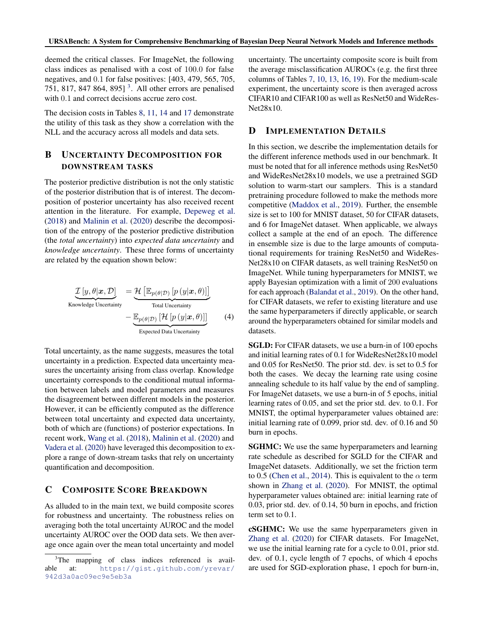<span id="page-13-0"></span>deemed the critical classes. For ImageNet, the following class indices as penalised with a cost of 100.0 for false negatives, and 0.1 for false positives: [403, 479, 565, 705, 751, 817, 847 864, 895]<sup>3</sup>. All other errors are penalised with 0.1 and correct decisions accrue zero cost.

The decision costs in Tables [8,](#page-16-0) [11,](#page-17-0) [14](#page-18-0) and [17](#page-19-0) demonstrate the utility of this task as they show a correlation with the NLL and the accuracy across all models and data sets.

# B UNCERTAINTY DECOMPOSITION FOR DOWNSTREAM TASKS

The posterior predictive distribution is not the only statistic of the posterior distribution that is of interest. The decomposition of posterior uncertainty has also received recent attention in the literature. For example, [Depeweg et al.](#page-11-0) [\(2018\)](#page-11-0) and [Malinin et al.](#page-11-0) [\(2020\)](#page-11-0) describe the decomposition of the entropy of the posterior predictive distribution (the *total uncertainty*) into *expected data uncertainty* and *knowledge uncertainty*. These three forms of uncertainty are related by the equation shown below:

$$
\underbrace{\mathcal{I}\left[y,\theta|\boldsymbol{x},\mathcal{D}\right]}_{\text{Knowledge Uncertainty}} = \underbrace{\mathcal{H}\left[\mathbb{E}_{p(\theta|\mathcal{D})}\left[p\left(y|\boldsymbol{x},\theta\right)\right]\right]}_{\text{Total Uncertainty}} - \underbrace{\mathbb{E}_{p(\theta|\mathcal{D})}\left[\mathcal{H}\left[p\left(y|\boldsymbol{x},\theta\right)\right]\right]}_{\text{Expected Data Uncertainty}}
$$
\n(4)

Total uncertainty, as the name suggests, measures the total uncertainty in a prediction. Expected data uncertainty measures the uncertainty arising from class overlap. Knowledge uncertainty corresponds to the conditional mutual information between labels and model parameters and measures the disagreement between different models in the posterior. However, it can be efficiently computed as the difference between total uncertainty and expected data uncertainty, both of which are (functions) of posterior expectations. In recent work, [Wang et al.](#page-12-0) [\(2018\)](#page-12-0), [Malinin et al.](#page-11-0) [\(2020\)](#page-11-0) and [Vadera et al.](#page-12-0) [\(2020\)](#page-12-0) have leveraged this decomposition to explore a range of down-stream tasks that rely on uncertainty quantification and decomposition.

# C COMPOSITE SCORE BREAKDOWN

As alluded to in the main text, we build composite scores for robustness and uncertainty. The robustness relies on averaging both the total uncertainty AUROC and the model uncertainty AUROC over the OOD data sets. We then average once again over the mean total uncertainty and model

uncertainty. The uncertainty composite score is built from the average misclassification AUROCs (e.g. the first three columns of Tables [7,](#page-15-0) [10,](#page-16-0) [13,](#page-17-0) [16,](#page-18-0) [19\)](#page-19-0). For the medium-scale experiment, the uncertainty score is then averaged across CIFAR10 and CIFAR100 as well as ResNet50 and WideRes-Net28x10.

# D IMPLEMENTATION DETAILS

In this section, we describe the implementation details for the different inference methods used in our benchmark. It must be noted that for all inference methods using ResNet50 and WideResNet28x10 models, we use a pretrained SGD solution to warm-start our samplers. This is a standard pretraining procedure followed to make the methods more competitive [\(Maddox et al.,](#page-11-0) [2019\)](#page-11-0). Further, the ensemble size is set to 100 for MNIST dataset, 50 for CIFAR datasets, and 6 for ImageNet dataset. When applicable, we always collect a sample at the end of an epoch. The difference in ensemble size is due to the large amounts of computational requirements for training ResNet50 and WideRes-Net28x10 on CIFAR datasets, as well training ResNet50 on ImageNet. While tuning hyperparameters for MNIST, we apply Bayesian optimization with a limit of 200 evaluations for each approach [\(Balandat et al.,](#page-10-0) [2019\)](#page-10-0). On the other hand, for CIFAR datasets, we refer to existing literature and use the same hyperparameters if directly applicable, or search around the hyperparameters obtained for similar models and datasets.

SGLD: For CIFAR datasets, we use a burn-in of 100 epochs and initial learning rates of 0.1 for WideResNet28x10 model and 0.05 for ResNet50. The prior std. dev. is set to 0.5 for both the cases. We decay the learning rate using cosine annealing schedule to its half value by the end of sampling. For ImageNet datasets, we use a burn-in of 5 epochs, initial learning rates of 0.05, and set the prior std. dev. to 0.1. For MNIST, the optimal hyperparameter values obtained are: initial learning rate of 0.099, prior std. dev. of 0.16 and 50 burn in epochs.

**SGHMC:** We use the same hyperparameters and learning rate schedule as described for SGLD for the CIFAR and ImageNet datasets. Additionally, we set the friction term to 0.5 [\(Chen et al.,](#page-10-0) [2014\)](#page-10-0). This is equivalent to the  $\alpha$  term shown in [Zhang et al.](#page-12-0) [\(2020\)](#page-12-0). For MNIST, the optimal hyperparameter values obtained are: initial learning rate of 0.03, prior std. dev. of 0.14, 50 burn in epochs, and friction term set to 0.1.

cSGHMC: We use the same hyperparameters given in [Zhang et al.](#page-12-0) [\(2020\)](#page-12-0) for CIFAR datasets. For ImageNet, we use the initial learning rate for a cycle to 0.01, prior std. dev. of 0.1, cycle length of 7 epochs, of which 4 epochs are used for SGD-exploration phase, 1 epoch for burn-in,

<sup>&</sup>lt;sup>3</sup>The mapping of class indices referenced is available at: [https://gist.github.com/yrevar/](https://gist.github.com/yrevar/942d3a0ac09ec9e5eb3a) [942d3a0ac09ec9e5eb3a](https://gist.github.com/yrevar/942d3a0ac09ec9e5eb3a)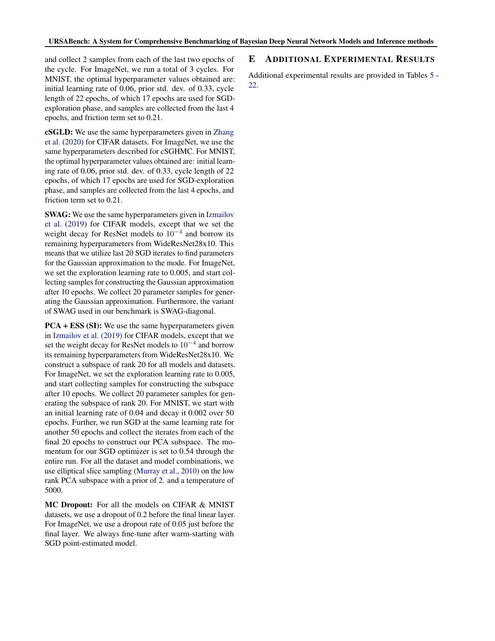<span id="page-14-0"></span>and collect 2 samples from each of the last two epochs of the cycle. For ImageNet, we run a total of 3 cycles. For MNIST, the optimal hyperparameter values obtained are: initial learning rate of 0.06, prior std. dev. of 0.33, cycle length of 22 epochs, of which 17 epochs are used for SGDexploration phase, and samples are collected from the last 4 epochs, and friction term set to 0.21.

cSGLD: We use the same hyperparameters given in [Zhang](#page-12-0) [et al.](#page-12-0) [\(2020\)](#page-12-0) for CIFAR datasets. For ImageNet, we use the same hyperparameters described for cSGHMC. For MNIST, the optimal hyperparameter values obtained are: initial learning rate of 0.06, prior std. dev. of 0.33, cycle length of 22 epochs, of which 17 epochs are used for SGD-exploration phase, and samples are collected from the last 4 epochs, and friction term set to 0.21.

SWAG: We use the same hyperparameters given in [Izmailov](#page-11-0) [et al.](#page-11-0) [\(2019\)](#page-11-0) for CIFAR models, except that we set the weight decay for ResNet models to  $10^{-4}$  and borrow its remaining hyperparameters from WideResNet28x10. This means that we utilize last 20 SGD iterates to find parameters for the Gaussian approximation to the mode. For ImageNet, we set the exploration learning rate to 0.005, and start collecting samples for constructing the Gaussian approximation after 10 epochs. We collect 20 parameter samples for generating the Gaussian approximation. Furthermore, the variant of SWAG used in our benchmark is SWAG-diagonal.

PCA + ESS (SI): We use the same hyperparameters given in [Izmailov et al.](#page-11-0) [\(2019\)](#page-11-0) for CIFAR models, except that we set the weight decay for ResNet models to  $10^{-4}$  and borrow its remaining hyperparameters from WideResNet28x10. We construct a subspace of rank 20 for all models and datasets. For ImageNet, we set the exploration learning rate to 0.005, and start collecting samples for constructing the subspace after 10 epochs. We collect 20 parameter samples for generating the subspace of rank 20. For MNIST, we start with an initial learning rate of 0.04 and decay it 0.002 over 50 epochs. Further, we run SGD at the same learning rate for another 50 epochs and collect the iterates from each of the final 20 epochs to construct our PCA subspace. The momentum for our SGD optimizer is set to 0.54 through the entire run. For all the dataset and model combinations, we use elliptical slice sampling [\(Murray et al.,](#page-11-0) [2010\)](#page-11-0) on the low rank PCA subspace with a prior of 2. and a temperature of 5000.

MC Dropout: For all the models on CIFAR & MNIST datasets, we use a dropout of 0.2 before the final linear layer. For ImageNet, we use a dropout rate of 0.05 just before the final layer. We always fine-tune after warm-starting with SGD point-estimated model.

# E ADDITIONAL EXPERIMENTAL RESULTS

Additional experimental results are provided in Tables [5](#page-15-0) - [22.](#page-20-0)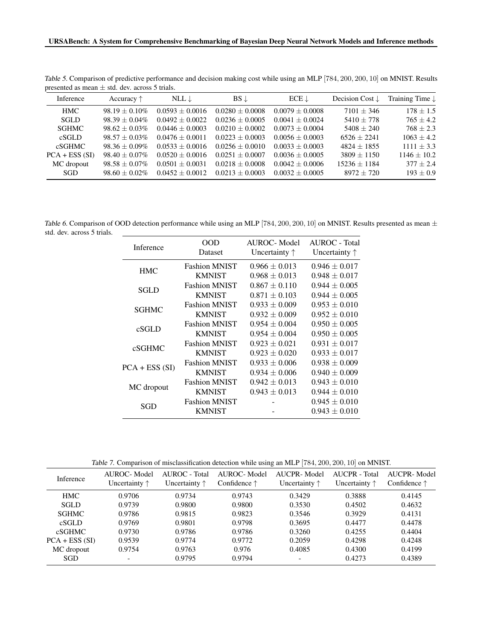|                 | $\mu$ . The set of $\mu$ is the set of $\mu$ in the set of $\mu$ is the set of $\mu$ |                   |                   |                   |                            |                            |
|-----------------|--------------------------------------------------------------------------------------|-------------------|-------------------|-------------------|----------------------------|----------------------------|
| Inference       | Accuracy $\uparrow$                                                                  | NLL $\downarrow$  | $BS \downarrow$   | $ECE \downarrow$  | Decision Cost $\downarrow$ | Training Time $\downarrow$ |
| HMC.            | $98.19 + 0.10\%$                                                                     | $0.0593 + 0.0016$ | $0.0280 + 0.0008$ | $0.0079 + 0.0008$ | $7101 + 346$               | $178 + 1.5$                |
| <b>SGLD</b>     | $98.39 + 0.04\%$                                                                     | $0.0492 + 0.0022$ | $0.0236 + 0.0005$ | $0.0041 + 0.0024$ | $5410 + 778$               | $765 + 4.2$                |
| <b>SGHMC</b>    | $98.62 + 0.03\%$                                                                     | $0.0446 + 0.0003$ | $0.0210 + 0.0002$ | $0.0073 + 0.0004$ | $5408 + 240$               | $768 + 2.3$                |
| cSGLD           | $98.57 + 0.03\%$                                                                     | $0.0476 + 0.0011$ | $0.0223 + 0.0003$ | $0.0056 + 0.0003$ | $6526 + 2241$              | $1063 + 4.2$               |
| cSGHMC          | $98.36 + 0.09\%$                                                                     | $0.0533 + 0.0016$ | $0.0256 + 0.0010$ | $0.0033 + 0.0003$ | $4824 + 1855$              | $1111 + 3.3$               |
| $PCA + ESS(SI)$ | $98.40 + 0.07\%$                                                                     | $0.0520 + 0.0016$ | $0.0251 + 0.0007$ | $0.0036 + 0.0005$ | $3809 + 1150$              | $1146 + 10.2$              |
| MC dropout      | $98.58 + 0.07\%$                                                                     | $0.0501 + 0.0031$ | $0.0218 + 0.0008$ | $0.0042 + 0.0006$ | $15236 + 1184$             | $377 + 2.4$                |
| <b>SGD</b>      | $98.60 + 0.02\%$                                                                     | $0.0452 + 0.0012$ | $0.0213 + 0.0003$ | $0.0032 + 0.0005$ | $8972 + 720$               | $193 + 0.9$                |

<span id="page-15-0"></span>Table 5. Comparison of predictive performance and decision making cost while using an MLP [784, 200, 200, 10] on MNIST. Results presented as mean  $\pm$  std. dev. across 5 trials.

Table 6. Comparison of OOD detection performance while using an MLP [784, 200, 200, 10] on MNIST. Results presented as mean  $\pm$ std. dev. across 5 trials.

| Inference       | OOD<br>Dataset                        | AUROC-Model<br>Uncertainty $\uparrow$  | AUROC - Total<br>Uncertainty $\uparrow$ |
|-----------------|---------------------------------------|----------------------------------------|-----------------------------------------|
| <b>HMC</b>      | <b>Fashion MNIST</b><br><b>KMNIST</b> | $0.966 \pm 0.013$<br>$0.968 \pm 0.013$ | $0.946 \pm 0.017$<br>$0.948 \pm 0.017$  |
| SGLD            | <b>Fashion MNIST</b>                  | $0.867 \pm 0.110$                      | $0.944 \pm 0.005$                       |
|                 | <b>KMNIST</b><br><b>Fashion MNIST</b> | $0.871 \pm 0.103$<br>$0.933 \pm 0.009$ | $0.944 \pm 0.005$<br>$0.953 \pm 0.010$  |
| <b>SGHMC</b>    | <b>KMNIST</b>                         | $0.932 \pm 0.009$                      | $0.952 \pm 0.010$                       |
| cSGLD           | <b>Fashion MNIST</b>                  | $0.954 \pm 0.004$                      | $0.950 \pm 0.005$                       |
|                 | <b>KMNIST</b>                         | $0.954 \pm 0.004$                      | $0.950 \pm 0.005$                       |
| cSGHMC          | <b>Fashion MNIST</b>                  | $0.923 \pm 0.021$                      | $0.931 \pm 0.017$                       |
|                 | <b>KMNIST</b>                         | $0.923 \pm 0.020$                      | $0.933 \pm 0.017$                       |
|                 | <b>Fashion MNIST</b>                  | $0.933 \pm 0.006$                      | $0.938 \pm 0.009$                       |
| $PCA + ESS(SI)$ | <b>KMNIST</b>                         | $0.934 \pm 0.006$                      | $0.940 \pm 0.009$                       |
|                 | <b>Fashion MNIST</b>                  | $0.942 \pm 0.013$                      | $0.943 \pm 0.010$                       |
| MC dropout      | <b>KMNIST</b>                         | $0.943 \pm 0.013$                      | $0.944 \pm 0.010$                       |
| SGD             | <b>Fashion MNIST</b>                  |                                        | $0.945 \pm 0.010$                       |
|                 | <b>KMNIST</b>                         |                                        | $0.943 \pm 0.010$                       |

Table 7. Comparison of misclassification detection while using an MLP [784, 200, 200, 10] on MNIST.

| Inference       | AUROC-Model<br>Uncertainty $\uparrow$ | AUROC - Total<br>Uncertainty $\uparrow$ | AUROC-Model<br>Confidence $\uparrow$ | AUCPR-Model<br>Uncertainty $\uparrow$ | AUCPR - Total<br>Uncertainty $\uparrow$ | AUCPR-Model<br>Confidence $\uparrow$ |
|-----------------|---------------------------------------|-----------------------------------------|--------------------------------------|---------------------------------------|-----------------------------------------|--------------------------------------|
| <b>HMC</b>      | 0.9706                                | 0.9734                                  | 0.9743                               | 0.3429                                | 0.3888                                  | 0.4145                               |
| <b>SGLD</b>     | 0.9739                                | 0.9800                                  | 0.9800                               | 0.3530                                | 0.4502                                  | 0.4632                               |
| <b>SGHMC</b>    | 0.9786                                | 0.9815                                  | 0.9823                               | 0.3546                                | 0.3929                                  | 0.4131                               |
| cSGLD           | 0.9769                                | 0.9801                                  | 0.9798                               | 0.3695                                | 0.4477                                  | 0.4478                               |
| <b>cSGHMC</b>   | 0.9730                                | 0.9786                                  | 0.9786                               | 0.3260                                | 0.4255                                  | 0.4404                               |
| $PCA + ESS(SI)$ | 0.9539                                | 0.9774                                  | 0.9772                               | 0.2059                                | 0.4298                                  | 0.4248                               |
| MC dropout      | 0.9754                                | 0.9763                                  | 0.976                                | 0.4085                                | 0.4300                                  | 0.4199                               |
| SGD             | $\overline{\phantom{a}}$              | 0.9795                                  | 0.9794                               | $\overline{\phantom{a}}$              | 0.4273                                  | 0.4389                               |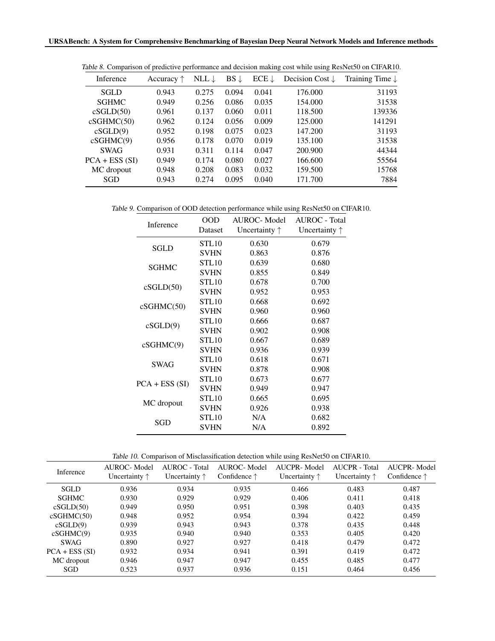| Inference       | Accuracy $\uparrow$ | NLL $\downarrow$ | $BS \downarrow$ | $ECE \downarrow$ | Decision Cost $\downarrow$ | Training Time $\downarrow$ |
|-----------------|---------------------|------------------|-----------------|------------------|----------------------------|----------------------------|
| <b>SGLD</b>     | 0.943               | 0.275            | 0.094           | 0.041            | 176.000                    | 31193                      |
| <b>SGHMC</b>    | 0.949               | 0.256            | 0.086           | 0.035            | 154.000                    | 31538                      |
| cSGLD(50)       | 0.961               | 0.137            | 0.060           | 0.011            | 118.500                    | 139336                     |
| cSGHMC(50)      | 0.962               | 0.124            | 0.056           | 0.009            | 125.000                    | 141291                     |
| cSGLD(9)        | 0.952               | 0.198            | 0.075           | 0.023            | 147.200                    | 31193                      |
| cSGHMC(9)       | 0.956               | 0.178            | 0.070           | 0.019            | 135.100                    | 31538                      |
| <b>SWAG</b>     | 0.931               | 0.311            | 0.114           | 0.047            | 200.900                    | 44344                      |
| $PCA + ESS(SI)$ | 0.949               | 0.174            | 0.080           | 0.027            | 166.600                    | 55564                      |
| MC dropout      | 0.948               | 0.208            | 0.083           | 0.032            | 159.500                    | 15768                      |
| SGD             | 0.943               | 0.274            | 0.095           | 0.040            | 171.700                    | 7884                       |

<span id="page-16-0"></span>Table 8. Comparison of predictive performance and decision making cost while using ResNet50 on CIFAR10.

Table 9. Comparison of OOD detection performance while using ResNet50 on CIFAR10.

|  | Inference       | <b>OOD</b>        | <b>AUROC-Model</b>     | <b>AUROC</b> - Total   |
|--|-----------------|-------------------|------------------------|------------------------|
|  |                 | Dataset           | Uncertainty $\uparrow$ | Uncertainty $\uparrow$ |
|  | <b>SGLD</b>     | STL <sub>10</sub> | 0.630                  | 0.679                  |
|  |                 | <b>SVHN</b>       | 0.863                  | 0.876                  |
|  | <b>SGHMC</b>    | STL10             | 0.639                  | 0.680                  |
|  |                 | <b>SVHN</b>       | 0.855                  | 0.849                  |
|  |                 | STL10             | 0.678                  | 0.700                  |
|  | cSGLD(50)       | <b>SVHN</b>       | 0.952                  | 0.953                  |
|  |                 | STL10             | 0.668                  | 0.692                  |
|  | cSGHMC(50)      | <b>SVHN</b>       | 0.960                  | 0.960                  |
|  | STL10           | 0.666             | 0.687                  |                        |
|  | cSGLD(9)        | <b>SVHN</b>       | 0.902                  | 0.908                  |
|  |                 | STL10             | 0.667                  | 0.689                  |
|  | cSGHMC(9)       | <b>SVHN</b>       | 0.936                  | 0.939                  |
|  | <b>SWAG</b>     | STL10             | 0.618                  | 0.671                  |
|  |                 | <b>SVHN</b>       | 0.878                  | 0.908                  |
|  |                 | STL10             | 0.673                  | 0.677                  |
|  | $PCA + ESS(SI)$ | <b>SVHN</b>       | 0.949                  | 0.947                  |
|  |                 | STL10             | 0.665                  | 0.695                  |
|  | MC dropout      | <b>SVHN</b>       | 0.926                  | 0.938                  |
|  | SGD             | STL10             | N/A                    | 0.682                  |
|  |                 | <b>SVHN</b>       | N/A                    | 0.892                  |
|  |                 |                   |                        |                        |

|--|

| Inference       | AUROC-Model<br>Uncertainty $\uparrow$ | AUROC - Total<br>Uncertainty $\uparrow$ | AUROC-Model<br>Confidence $\uparrow$ | AUCPR-Model<br>Uncertainty $\uparrow$ | AUCPR - Total<br>Uncertainty $\uparrow$ | AUCPR-Model<br>Confidence $\uparrow$ |
|-----------------|---------------------------------------|-----------------------------------------|--------------------------------------|---------------------------------------|-----------------------------------------|--------------------------------------|
| <b>SGLD</b>     | 0.936                                 | 0.934                                   | 0.935                                | 0.466                                 | 0.483                                   | 0.487                                |
| <b>SGHMC</b>    | 0.930                                 | 0.929                                   | 0.929                                | 0.406                                 | 0.411                                   | 0.418                                |
| cSGLD(50)       | 0.949                                 | 0.950                                   | 0.951                                | 0.398                                 | 0.403                                   | 0.435                                |
| cSGHMC(50)      | 0.948                                 | 0.952                                   | 0.954                                | 0.394                                 | 0.422                                   | 0.459                                |
| cSGLD(9)        | 0.939                                 | 0.943                                   | 0.943                                | 0.378                                 | 0.435                                   | 0.448                                |
| cSGHMC(9)       | 0.935                                 | 0.940                                   | 0.940                                | 0.353                                 | 0.405                                   | 0.420                                |
| <b>SWAG</b>     | 0.890                                 | 0.927                                   | 0.927                                | 0.418                                 | 0.479                                   | 0.472                                |
| $PCA + ESS(SI)$ | 0.932                                 | 0.934                                   | 0.941                                | 0.391                                 | 0.419                                   | 0.472                                |
| MC dropout      | 0.946                                 | 0.947                                   | 0.947                                | 0.455                                 | 0.485                                   | 0.477                                |
| SGD             | 0.523                                 | 0.937                                   | 0.936                                | 0.151                                 | 0.464                                   | 0.456                                |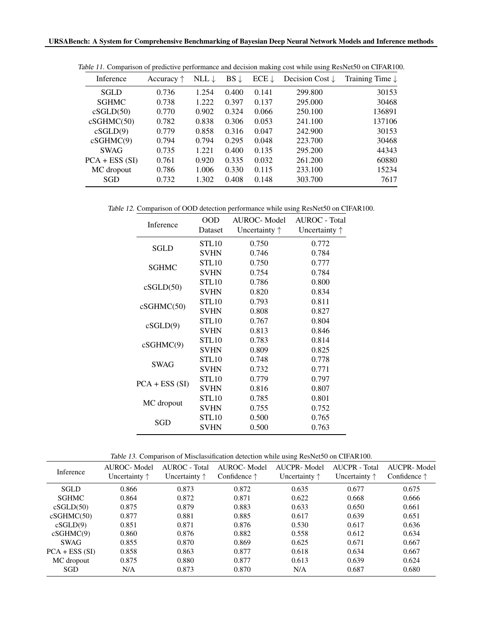| Inference       | Accuracy $\uparrow$ | NLL $\downarrow$ | $BS \downarrow$ | $ECE \downarrow$ | Decision Cost $\downarrow$ | Training Time $\downarrow$ |
|-----------------|---------------------|------------------|-----------------|------------------|----------------------------|----------------------------|
| <b>SGLD</b>     | 0.736               | 1.254            | 0.400           | 0.141            | 299.800                    | 30153                      |
| <b>SGHMC</b>    | 0.738               | 1.222            | 0.397           | 0.137            | 295.000                    | 30468                      |
| cSGLD(50)       | 0.770               | 0.902            | 0.324           | 0.066            | 250.100                    | 136891                     |
| cSGHMC(50)      | 0.782               | 0.838            | 0.306           | 0.053            | 241.100                    | 137106                     |
| cSGLD(9)        | 0.779               | 0.858            | 0.316           | 0.047            | 242.900                    | 30153                      |
| cSGHMC(9)       | 0.794               | 0.794            | 0.295           | 0.048            | 223.700                    | 30468                      |
| <b>SWAG</b>     | 0.735               | 1.221            | 0.400           | 0.135            | 295.200                    | 44343                      |
| $PCA + ESS(SI)$ | 0.761               | 0.920            | 0.335           | 0.032            | 261.200                    | 60880                      |
| MC dropout      | 0.786               | 1.006            | 0.330           | 0.115            | 233.100                    | 15234                      |
| SGD             | 0.732               | 1.302            | 0.408           | 0.148            | 303.700                    | 7617                       |

<span id="page-17-0"></span>Table 11. Comparison of predictive performance and decision making cost while using ResNet50 on CIFAR100.

Table 12. Comparison of OOD detection performance while using ResNet50 on CIFAR100.

| Inference       | <b>OOD</b>  | <b>AUROC-Model</b>     | <b>AUROC</b> - Total   |
|-----------------|-------------|------------------------|------------------------|
|                 | Dataset     | Uncertainty $\uparrow$ | Uncertainty $\uparrow$ |
| <b>SGLD</b>     | STL10       | 0.750                  | 0.772                  |
|                 | <b>SVHN</b> | 0.746                  | 0.784                  |
| <b>SGHMC</b>    | STL10       | 0.750                  | 0.777                  |
|                 | <b>SVHN</b> | 0.754                  | 0.784                  |
| cSGLD(50)       | STL10       | 0.786                  | 0.800                  |
|                 | <b>SVHN</b> | 0.820                  | 0.834                  |
|                 | STL10       | 0.793                  | 0.811                  |
| cSGHMC(50)      | <b>SVHN</b> | 0.808                  | 0.827                  |
| cSGLD(9)        | STL10       | 0.767                  | 0.804                  |
|                 | <b>SVHN</b> | 0.813                  | 0.846                  |
| cSGHMC(9)       | STL10       | 0.783                  | 0.814                  |
|                 | <b>SVHN</b> | 0.809                  | 0.825                  |
| <b>SWAG</b>     | STL10       | 0.748                  | 0.778                  |
|                 | <b>SVHN</b> | 0.732                  | 0.771                  |
|                 | STL10       | 0.779                  | 0.797                  |
| $PCA + ESS(SI)$ | <b>SVHN</b> | 0.816                  | 0.807                  |
| MC dropout      | STL10       | 0.785                  | 0.801                  |
|                 | <b>SVHN</b> | 0.755                  | 0.752                  |
| SGD             | STL10       | 0.500                  | 0.765                  |
|                 | <b>SVHN</b> | 0.500                  | 0.763                  |

|  | Table 13. Comparison of Misclassification detection while using ResNet50 on CIFAR100. |  |  |
|--|---------------------------------------------------------------------------------------|--|--|
|  |                                                                                       |  |  |

| Inference       | AUROC-Model<br>Uncertainty $\uparrow$ | AUROC - Total<br>Uncertainty $\uparrow$ | AUROC-Model<br>Confidence $\uparrow$ | AUCPR-Model<br>Uncertainty $\uparrow$ | AUCPR - Total<br>Uncertainty $\uparrow$ | AUCPR-Model<br>Confidence $\uparrow$ |
|-----------------|---------------------------------------|-----------------------------------------|--------------------------------------|---------------------------------------|-----------------------------------------|--------------------------------------|
| <b>SGLD</b>     | 0.866                                 | 0.873                                   | 0.872                                | 0.635                                 | 0.677                                   | 0.675                                |
| <b>SGHMC</b>    | 0.864                                 | 0.872                                   | 0.871                                | 0.622                                 | 0.668                                   | 0.666                                |
| cSGLD(50)       | 0.875                                 | 0.879                                   | 0.883                                | 0.633                                 | 0.650                                   | 0.661                                |
| cSGHMC(50)      | 0.877                                 | 0.881                                   | 0.885                                | 0.617                                 | 0.639                                   | 0.651                                |
| cSGLD(9)        | 0.851                                 | 0.871                                   | 0.876                                | 0.530                                 | 0.617                                   | 0.636                                |
| cSGHMC(9)       | 0.860                                 | 0.876                                   | 0.882                                | 0.558                                 | 0.612                                   | 0.634                                |
| <b>SWAG</b>     | 0.855                                 | 0.870                                   | 0.869                                | 0.625                                 | 0.671                                   | 0.667                                |
| $PCA + ESS(SI)$ | 0.858                                 | 0.863                                   | 0.877                                | 0.618                                 | 0.634                                   | 0.667                                |
| MC dropout      | 0.875                                 | 0.880                                   | 0.877                                | 0.613                                 | 0.639                                   | 0.624                                |
| SGD             | N/A                                   | 0.873                                   | 0.870                                | N/A                                   | 0.687                                   | 0.680                                |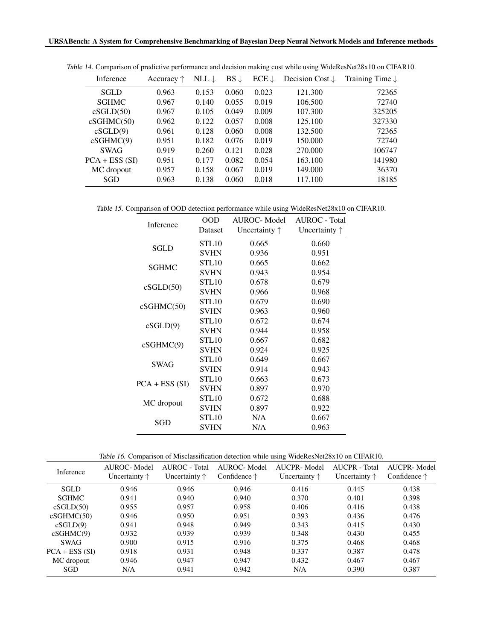| Inference       | Accuracy $\uparrow$ | NLL $\downarrow$ | $BS \downarrow$ | $ECE \downarrow$ | Decision Cost $\downarrow$ | Training Time $\downarrow$ |
|-----------------|---------------------|------------------|-----------------|------------------|----------------------------|----------------------------|
| <b>SGLD</b>     | 0.963               | 0.153            | 0.060           | 0.023            | 121.300                    | 72365                      |
| <b>SGHMC</b>    | 0.967               | 0.140            | 0.055           | 0.019            | 106.500                    | 72740                      |
| cSGLD(50)       | 0.967               | 0.105            | 0.049           | 0.009            | 107.300                    | 325205                     |
| cSGHMC(50)      | 0.962               | 0.122            | 0.057           | 0.008            | 125.100                    | 327330                     |
| cSGLD(9)        | 0.961               | 0.128            | 0.060           | 0.008            | 132.500                    | 72365                      |
| cSGHMC(9)       | 0.951               | 0.182            | 0.076           | 0.019            | 150.000                    | 72740                      |
| <b>SWAG</b>     | 0.919               | 0.260            | 0.121           | 0.028            | 270.000                    | 106747                     |
| $PCA + ESS(SI)$ | 0.951               | 0.177            | 0.082           | 0.054            | 163.100                    | 141980                     |
| MC dropout      | 0.957               | 0.158            | 0.067           | 0.019            | 149.000                    | 36370                      |
| SGD             | 0.963               | 0.138            | 0.060           | 0.018            | 117.100                    | 18185                      |

<span id="page-18-0"></span>Table 14. Comparison of predictive performance and decision making cost while using WideResNet28x10 on CIFAR10.

Table 15. Comparison of OOD detection performance while using WideResNet28x10 on CIFAR10.

| Inference<br>Uncertainty $\uparrow$<br>Dataset<br>Uncertainty $\uparrow$<br>STL10<br>0.665<br>0.660<br><b>SGLD</b><br><b>SVHN</b><br>0.936<br>0.951<br>STL10<br>0.665<br>0.662 |  |
|--------------------------------------------------------------------------------------------------------------------------------------------------------------------------------|--|
|                                                                                                                                                                                |  |
|                                                                                                                                                                                |  |
|                                                                                                                                                                                |  |
|                                                                                                                                                                                |  |
| <b>SGHMC</b><br><b>SVHN</b><br>0.954<br>0.943                                                                                                                                  |  |
| STL10<br>0.678<br>0.679                                                                                                                                                        |  |
| cSGLD(50)<br><b>SVHN</b><br>0.966<br>0.968                                                                                                                                     |  |
| STL10<br>0.679<br>0.690<br>cSGHMC(50)                                                                                                                                          |  |
| <b>SVHN</b><br>0.963<br>0.960                                                                                                                                                  |  |
| STL10<br>0.672<br>0.674<br>cSGLD(9)                                                                                                                                            |  |
| <b>SVHN</b><br>0.944<br>0.958                                                                                                                                                  |  |
| STL10<br>0.667<br>0.682<br>cSGHMC(9)                                                                                                                                           |  |
| <b>SVHN</b><br>0.924<br>0.925                                                                                                                                                  |  |
| STL10<br>0.649<br>0.667<br><b>SWAG</b>                                                                                                                                         |  |
| <b>SVHN</b><br>0.914<br>0.943                                                                                                                                                  |  |
| STL10<br>0.663<br>0.673<br>$PCA + ESS(SI)$                                                                                                                                     |  |
| <b>SVHN</b><br>0.897<br>0.970                                                                                                                                                  |  |
| STL10<br>0.672<br>0.688<br>MC dropout                                                                                                                                          |  |
| <b>SVHN</b><br>0.897<br>0.922                                                                                                                                                  |  |
| STL10<br>0.667<br>N/A<br>SGD                                                                                                                                                   |  |
| <b>SVHN</b><br>N/A<br>0.963                                                                                                                                                    |  |

|  |  |  | Table 16. Comparison of Misclassification detection while using WideResNet28x10 on CIFAR10. |
|--|--|--|---------------------------------------------------------------------------------------------|
|  |  |  |                                                                                             |

| <b>Inference</b> | AUROC-Model<br>Uncertainty $\uparrow$ | AUROC - Total<br>Uncertainty $\uparrow$ | AUROC-Model<br>Confidence $\uparrow$ | AUCPR-Model<br>Uncertainty $\uparrow$ | AUCPR - Total<br>Uncertainty $\uparrow$ | AUCPR-Model<br>Confidence $\uparrow$ |
|------------------|---------------------------------------|-----------------------------------------|--------------------------------------|---------------------------------------|-----------------------------------------|--------------------------------------|
| <b>SGLD</b>      | 0.946                                 | 0.946                                   | 0.946                                | 0.416                                 | 0.445                                   | 0.438                                |
| <b>SGHMC</b>     | 0.941                                 | 0.940                                   | 0.940                                | 0.370                                 | 0.401                                   | 0.398                                |
| cSGLD(50)        | 0.955                                 | 0.957                                   | 0.958                                | 0.406                                 | 0.416                                   | 0.438                                |
| cSGHMC(50)       | 0.946                                 | 0.950                                   | 0.951                                | 0.393                                 | 0.436                                   | 0.476                                |
| cSGLD(9)         | 0.941                                 | 0.948                                   | 0.949                                | 0.343                                 | 0.415                                   | 0.430                                |
| cSGHMC(9)        | 0.932                                 | 0.939                                   | 0.939                                | 0.348                                 | 0.430                                   | 0.455                                |
| <b>SWAG</b>      | 0.900                                 | 0.915                                   | 0.916                                | 0.375                                 | 0.468                                   | 0.468                                |
| $PCA + ESS(SI)$  | 0.918                                 | 0.931                                   | 0.948                                | 0.337                                 | 0.387                                   | 0.478                                |
| MC dropout       | 0.946                                 | 0.947                                   | 0.947                                | 0.432                                 | 0.467                                   | 0.467                                |
| SGD              | N/A                                   | 0.941                                   | 0.942                                | N/A                                   | 0.390                                   | 0.387                                |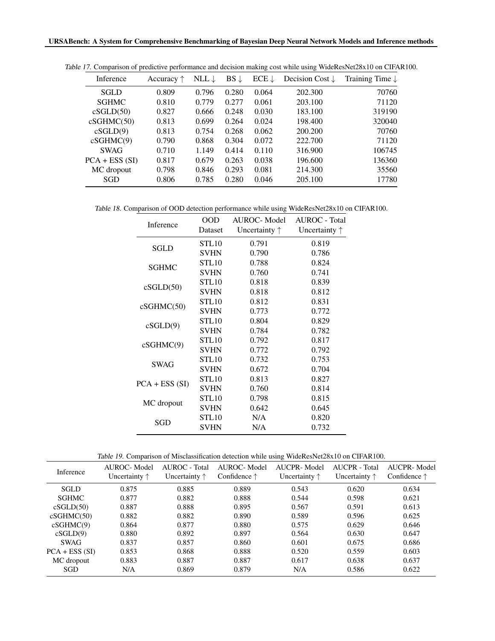| Inference       | Accuracy $\uparrow$ | NLL $\downarrow$ | $BS \downarrow$ | $ECE \downarrow$ | Decision Cost $\downarrow$ | Training Time $\downarrow$ |
|-----------------|---------------------|------------------|-----------------|------------------|----------------------------|----------------------------|
| <b>SGLD</b>     | 0.809               | 0.796            | 0.280           | 0.064            | 202.300                    | 70760                      |
| <b>SGHMC</b>    | 0.810               | 0.779            | 0.277           | 0.061            | 203.100                    | 71120                      |
| cSGLD(50)       | 0.827               | 0.666            | 0.248           | 0.030            | 183.100                    | 319190                     |
| cSGHMC(50)      | 0.813               | 0.699            | 0.264           | 0.024            | 198.400                    | 320040                     |
| cSGLD(9)        | 0.813               | 0.754            | 0.268           | 0.062            | 200.200                    | 70760                      |
| cSGHMC(9)       | 0.790               | 0.868            | 0.304           | 0.072            | 222.700                    | 71120                      |
| <b>SWAG</b>     | 0.710               | 1.149            | 0.414           | 0.110            | 316.900                    | 106745                     |
| $PCA + ESS(SI)$ | 0.817               | 0.679            | 0.263           | 0.038            | 196.600                    | 136360                     |
| MC dropout      | 0.798               | 0.846            | 0.293           | 0.081            | 214.300                    | 35560                      |
| SGD             | 0.806               | 0.785            | 0.280           | 0.046            | 205.100                    | 17780                      |

<span id="page-19-0"></span>Table 17. Comparison of predictive performance and decision making cost while using WideResNet28x10 on CIFAR100.

Table 18. Comparison of OOD detection performance while using WideResNet28x10 on CIFAR100.

| Inference       | <b>OOD</b>        | <b>AUROC-Model</b>     | <b>AUROC</b> - Total   |
|-----------------|-------------------|------------------------|------------------------|
|                 | Dataset           | Uncertainty $\uparrow$ | Uncertainty $\uparrow$ |
| <b>SGLD</b>     | STL <sub>10</sub> | 0.791                  | 0.819                  |
|                 | <b>SVHN</b>       | 0.790                  | 0.786                  |
| <b>SGHMC</b>    | STL10             | 0.788                  | 0.824                  |
|                 | <b>SVHN</b>       | 0.760                  | 0.741                  |
|                 | STL10             | 0.818                  | 0.839                  |
| cSGLD(50)       | <b>SVHN</b>       | 0.818                  | 0.812                  |
|                 | STL10             | 0.812                  | 0.831                  |
| cSGHMC(50)      | <b>SVHN</b>       | 0.773                  | 0.772                  |
| cSGLD(9)        | STL10             | 0.804                  | 0.829                  |
|                 | <b>SVHN</b>       | 0.784                  | 0.782                  |
| cSGHMC(9)       | STL10             | 0.792                  | 0.817                  |
|                 | <b>SVHN</b>       | 0.772                  | 0.792                  |
| <b>SWAG</b>     | STL10             | 0.732                  | 0.753                  |
|                 | <b>SVHN</b>       | 0.672                  | 0.704                  |
| $PCA + ESS(SI)$ | STL10             | 0.813                  | 0.827                  |
|                 | <b>SVHN</b>       | 0.760                  | 0.814                  |
|                 | STL10             | 0.798                  | 0.815                  |
| MC dropout      | <b>SVHN</b>       | 0.642                  | 0.645                  |
| SGD             | STL10             | N/A                    | 0.820                  |
|                 | <b>SVHN</b>       | N/A                    | 0.732                  |

|  |  | Table 19. Comparison of Misclassification detection while using WideResNet28x10 on CIFAR100. |  |
|--|--|----------------------------------------------------------------------------------------------|--|
|  |  |                                                                                              |  |

| Inference       | AUROC-Model<br>Uncertainty $\uparrow$ | AUROC - Total<br>Uncertainty $\uparrow$ | AUROC-Model<br>Confidence $\uparrow$ | AUCPR-Model<br>Uncertainty $\uparrow$ | AUCPR - Total<br>Uncertainty $\uparrow$ | AUCPR-Model<br>Confidence $\uparrow$ |
|-----------------|---------------------------------------|-----------------------------------------|--------------------------------------|---------------------------------------|-----------------------------------------|--------------------------------------|
| <b>SGLD</b>     | 0.875                                 | 0.885                                   | 0.889                                | 0.543                                 | 0.620                                   | 0.634                                |
| <b>SGHMC</b>    | 0.877                                 | 0.882                                   | 0.888                                | 0.544                                 | 0.598                                   | 0.621                                |
| cSGLD(50)       | 0.887                                 | 0.888                                   | 0.895                                | 0.567                                 | 0.591                                   | 0.613                                |
| cSGHMC(50)      | 0.882                                 | 0.882                                   | 0.890                                | 0.589                                 | 0.596                                   | 0.625                                |
| cSGHMC(9)       | 0.864                                 | 0.877                                   | 0.880                                | 0.575                                 | 0.629                                   | 0.646                                |
| cSGLD(9)        | 0.880                                 | 0.892                                   | 0.897                                | 0.564                                 | 0.630                                   | 0.647                                |
| <b>SWAG</b>     | 0.837                                 | 0.857                                   | 0.860                                | 0.601                                 | 0.675                                   | 0.686                                |
| $PCA + ESS(SI)$ | 0.853                                 | 0.868                                   | 0.888                                | 0.520                                 | 0.559                                   | 0.603                                |
| MC dropout      | 0.883                                 | 0.887                                   | 0.887                                | 0.617                                 | 0.638                                   | 0.637                                |
| SGD             | N/A                                   | 0.869                                   | 0.879                                | N/A                                   | 0.586                                   | 0.622                                |